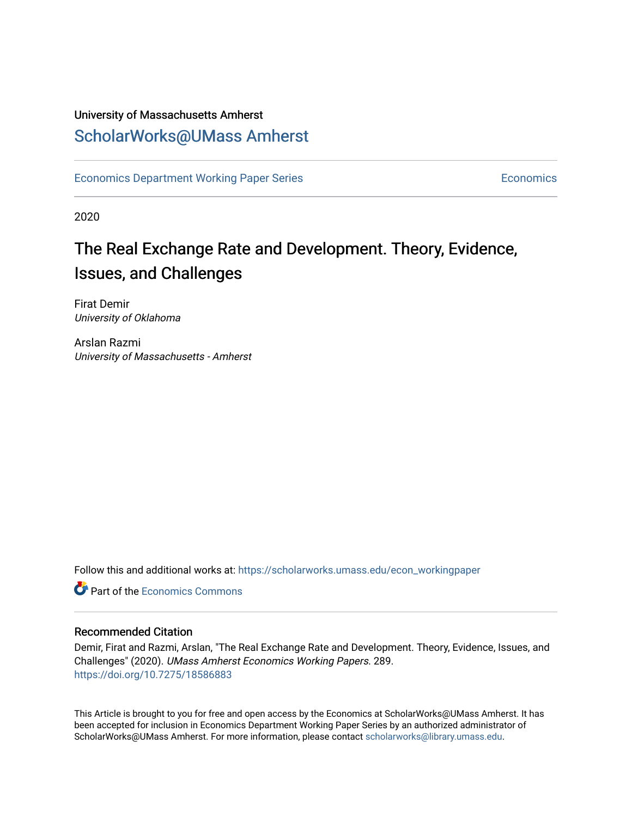## University of Massachusetts Amherst [ScholarWorks@UMass Amherst](https://scholarworks.umass.edu/)

[Economics Department Working Paper Series](https://scholarworks.umass.edu/econ_workingpaper) **Economics** [Economics](https://scholarworks.umass.edu/economics) Economics

2020

# The Real Exchange Rate and Development. Theory, Evidence, Issues, and Challenges

Firat Demir University of Oklahoma

Arslan Razmi University of Massachusetts - Amherst

Follow this and additional works at: [https://scholarworks.umass.edu/econ\\_workingpaper](https://scholarworks.umass.edu/econ_workingpaper?utm_source=scholarworks.umass.edu%2Fecon_workingpaper%2F289&utm_medium=PDF&utm_campaign=PDFCoverPages) 

**C** Part of the [Economics Commons](http://network.bepress.com/hgg/discipline/340?utm_source=scholarworks.umass.edu%2Fecon_workingpaper%2F289&utm_medium=PDF&utm_campaign=PDFCoverPages)

## Recommended Citation

Demir, Firat and Razmi, Arslan, "The Real Exchange Rate and Development. Theory, Evidence, Issues, and Challenges" (2020). UMass Amherst Economics Working Papers. 289. <https://doi.org/10.7275/18586883>

This Article is brought to you for free and open access by the Economics at ScholarWorks@UMass Amherst. It has been accepted for inclusion in Economics Department Working Paper Series by an authorized administrator of ScholarWorks@UMass Amherst. For more information, please contact [scholarworks@library.umass.edu.](mailto:scholarworks@library.umass.edu)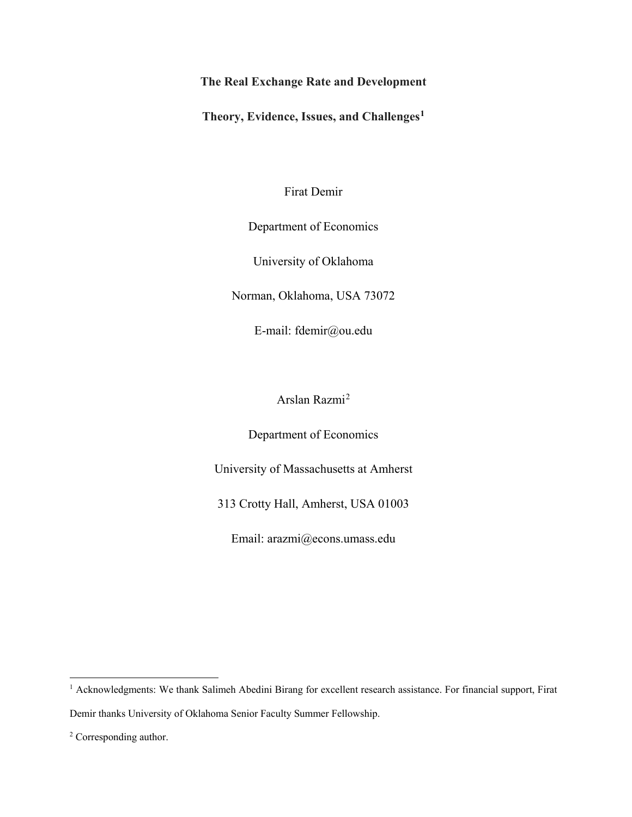## **The Real Exchange Rate and Development**

**Theory, Evidence, Issues, and Challenges[1](#page-1-0)**

Firat Demir

## Department of Economics

University of Oklahoma

Norman, Oklahoma, USA 73072

E-mail: fdemir@ou.edu

Arslan Razmi[2](#page-1-1)

Department of Economics

University of Massachusetts at Amherst

313 Crotty Hall, Amherst, USA 01003

Email: arazmi@econs.umass.edu

<span id="page-1-0"></span><sup>&</sup>lt;sup>1</sup> Acknowledgments: We thank Salimeh Abedini Birang for excellent research assistance. For financial support, Firat Demir thanks University of Oklahoma Senior Faculty Summer Fellowship.

<span id="page-1-1"></span><sup>2</sup> Corresponding author.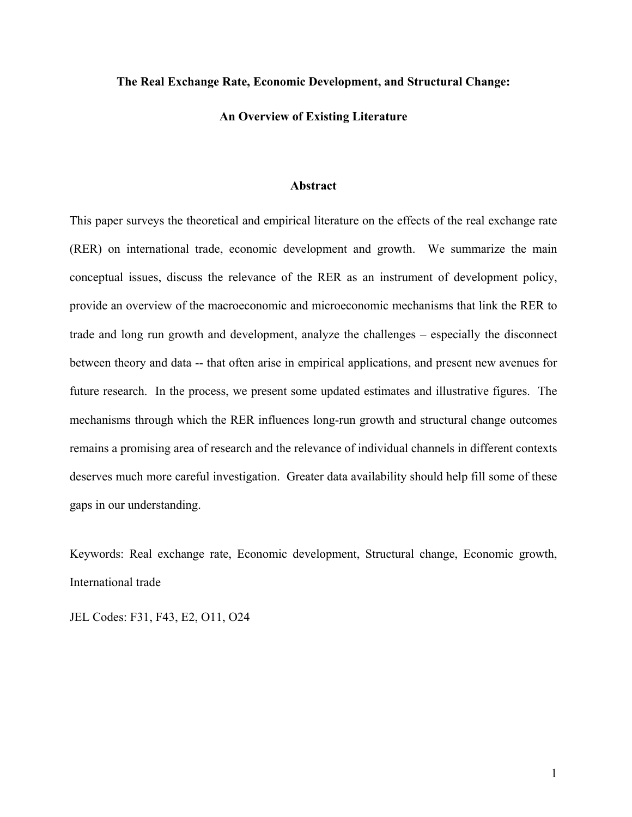## **The Real Exchange Rate, Economic Development, and Structural Change:**

**An Overview of Existing Literature**

#### **Abstract**

This paper surveys the theoretical and empirical literature on the effects of the real exchange rate (RER) on international trade, economic development and growth. We summarize the main conceptual issues, discuss the relevance of the RER as an instrument of development policy, provide an overview of the macroeconomic and microeconomic mechanisms that link the RER to trade and long run growth and development, analyze the challenges – especially the disconnect between theory and data -- that often arise in empirical applications, and present new avenues for future research. In the process, we present some updated estimates and illustrative figures. The mechanisms through which the RER influences long-run growth and structural change outcomes remains a promising area of research and the relevance of individual channels in different contexts deserves much more careful investigation. Greater data availability should help fill some of these gaps in our understanding.

Keywords: Real exchange rate, Economic development, Structural change, Economic growth, International trade

JEL Codes: F31, F43, E2, O11, O24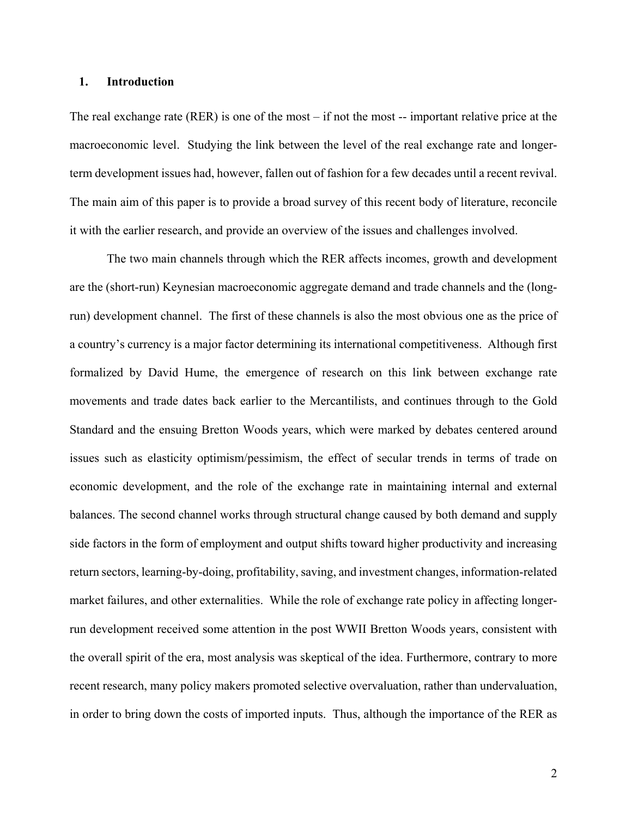## **1. Introduction**

The real exchange rate  $(RER)$  is one of the most – if not the most -- important relative price at the macroeconomic level. Studying the link between the level of the real exchange rate and longerterm development issues had, however, fallen out of fashion for a few decades until a recent revival. The main aim of this paper is to provide a broad survey of this recent body of literature, reconcile it with the earlier research, and provide an overview of the issues and challenges involved.

The two main channels through which the RER affects incomes, growth and development are the (short-run) Keynesian macroeconomic aggregate demand and trade channels and the (longrun) development channel. The first of these channels is also the most obvious one as the price of a country's currency is a major factor determining its international competitiveness. Although first formalized by David Hume, the emergence of research on this link between exchange rate movements and trade dates back earlier to the Mercantilists, and continues through to the Gold Standard and the ensuing Bretton Woods years, which were marked by debates centered around issues such as elasticity optimism/pessimism, the effect of secular trends in terms of trade on economic development, and the role of the exchange rate in maintaining internal and external balances. The second channel works through structural change caused by both demand and supply side factors in the form of employment and output shifts toward higher productivity and increasing return sectors, learning-by-doing, profitability, saving, and investment changes, information-related market failures, and other externalities. While the role of exchange rate policy in affecting longerrun development received some attention in the post WWII Bretton Woods years, consistent with the overall spirit of the era, most analysis was skeptical of the idea. Furthermore, contrary to more recent research, many policy makers promoted selective overvaluation, rather than undervaluation, in order to bring down the costs of imported inputs. Thus, although the importance of the RER as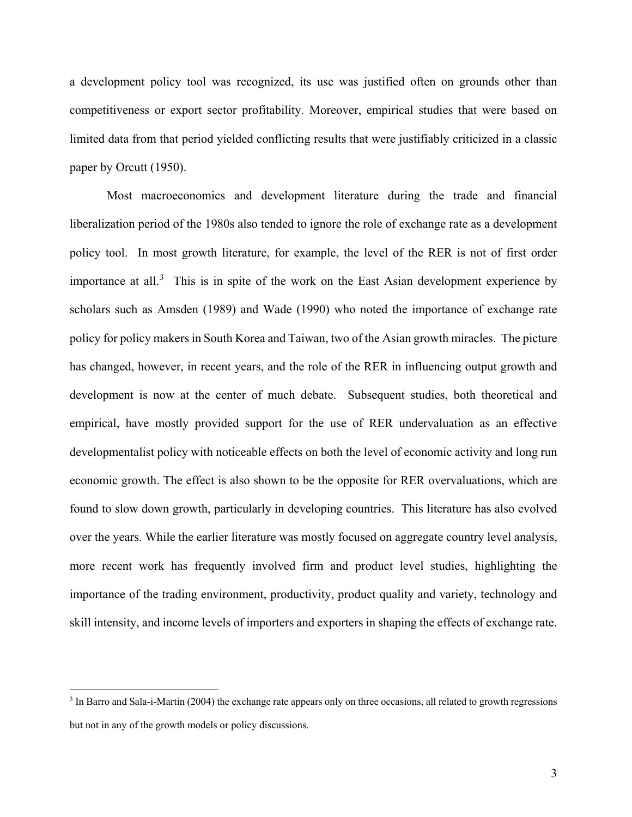a development policy tool was recognized, its use was justified often on grounds other than competitiveness or export sector profitability. Moreover, empirical studies that were based on limited data from that period yielded conflicting results that were justifiably criticized in a classic paper by Orcutt (1950).

Most macroeconomics and development literature during the trade and financial liberalization period of the 1980s also tended to ignore the role of exchange rate as a development policy tool. In most growth literature, for example, the level of the RER is not of first order importance at all.<sup>[3](#page-4-0)</sup> This is in spite of the work on the East Asian development experience by scholars such as Amsden (1989) and Wade (1990) who noted the importance of exchange rate policy for policy makers in South Korea and Taiwan, two of the Asian growth miracles. The picture has changed, however, in recent years, and the role of the RER in influencing output growth and development is now at the center of much debate. Subsequent studies, both theoretical and empirical, have mostly provided support for the use of RER undervaluation as an effective developmentalist policy with noticeable effects on both the level of economic activity and long run economic growth. The effect is also shown to be the opposite for RER overvaluations, which are found to slow down growth, particularly in developing countries. This literature has also evolved over the years. While the earlier literature was mostly focused on aggregate country level analysis, more recent work has frequently involved firm and product level studies, highlighting the importance of the trading environment, productivity, product quality and variety, technology and skill intensity, and income levels of importers and exporters in shaping the effects of exchange rate.

<span id="page-4-0"></span> $3$  In Barro and Sala-i-Martin (2004) the exchange rate appears only on three occasions, all related to growth regressions but not in any of the growth models or policy discussions.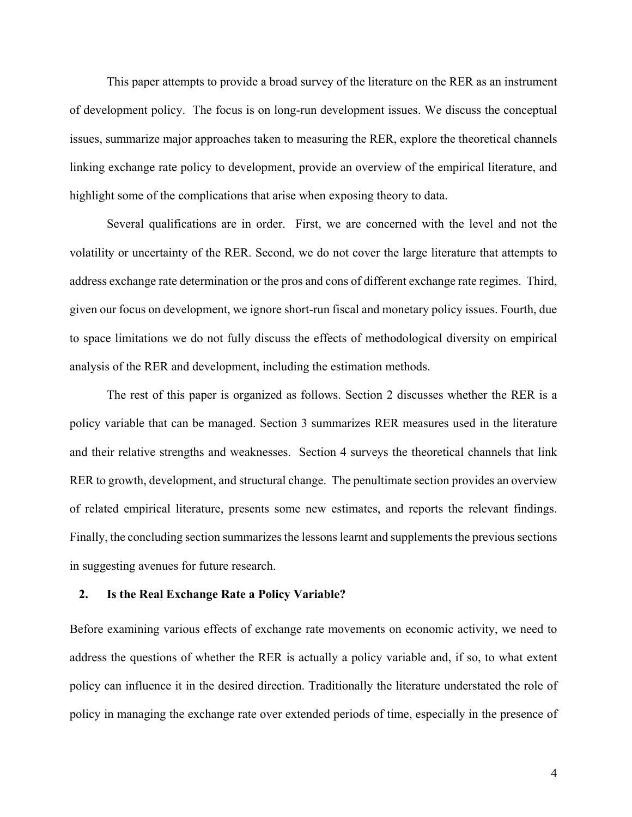This paper attempts to provide a broad survey of the literature on the RER as an instrument of development policy. The focus is on long-run development issues. We discuss the conceptual issues, summarize major approaches taken to measuring the RER, explore the theoretical channels linking exchange rate policy to development, provide an overview of the empirical literature, and highlight some of the complications that arise when exposing theory to data.

Several qualifications are in order. First, we are concerned with the level and not the volatility or uncertainty of the RER. Second, we do not cover the large literature that attempts to address exchange rate determination or the pros and cons of different exchange rate regimes. Third, given our focus on development, we ignore short-run fiscal and monetary policy issues. Fourth, due to space limitations we do not fully discuss the effects of methodological diversity on empirical analysis of the RER and development, including the estimation methods.

The rest of this paper is organized as follows. Section 2 discusses whether the RER is a policy variable that can be managed. Section 3 summarizes RER measures used in the literature and their relative strengths and weaknesses. Section 4 surveys the theoretical channels that link RER to growth, development, and structural change. The penultimate section provides an overview of related empirical literature, presents some new estimates, and reports the relevant findings. Finally, the concluding section summarizes the lessons learnt and supplements the previous sections in suggesting avenues for future research.

## **2. Is the Real Exchange Rate a Policy Variable?**

Before examining various effects of exchange rate movements on economic activity, we need to address the questions of whether the RER is actually a policy variable and, if so, to what extent policy can influence it in the desired direction. Traditionally the literature understated the role of policy in managing the exchange rate over extended periods of time, especially in the presence of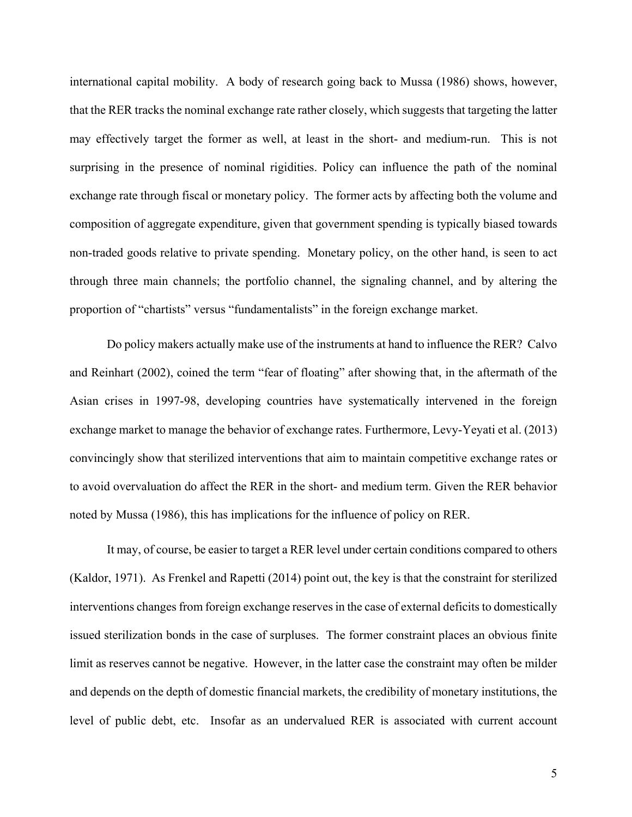international capital mobility. A body of research going back to Mussa (1986) shows, however, that the RER tracks the nominal exchange rate rather closely, which suggests that targeting the latter may effectively target the former as well, at least in the short- and medium-run. This is not surprising in the presence of nominal rigidities. Policy can influence the path of the nominal exchange rate through fiscal or monetary policy. The former acts by affecting both the volume and composition of aggregate expenditure, given that government spending is typically biased towards non-traded goods relative to private spending. Monetary policy, on the other hand, is seen to act through three main channels; the portfolio channel, the signaling channel, and by altering the proportion of "chartists" versus "fundamentalists" in the foreign exchange market.

Do policy makers actually make use of the instruments at hand to influence the RER? Calvo and Reinhart (2002), coined the term "fear of floating" after showing that, in the aftermath of the Asian crises in 1997-98, developing countries have systematically intervened in the foreign exchange market to manage the behavior of exchange rates. Furthermore, Levy-Yeyati et al. (2013) convincingly show that sterilized interventions that aim to maintain competitive exchange rates or to avoid overvaluation do affect the RER in the short- and medium term. Given the RER behavior noted by Mussa (1986), this has implications for the influence of policy on RER.

It may, of course, be easier to target a RER level under certain conditions compared to others (Kaldor, 1971). As Frenkel and Rapetti (2014) point out, the key is that the constraint for sterilized interventions changes from foreign exchange reserves in the case of external deficits to domestically issued sterilization bonds in the case of surpluses. The former constraint places an obvious finite limit as reserves cannot be negative. However, in the latter case the constraint may often be milder and depends on the depth of domestic financial markets, the credibility of monetary institutions, the level of public debt, etc. Insofar as an undervalued RER is associated with current account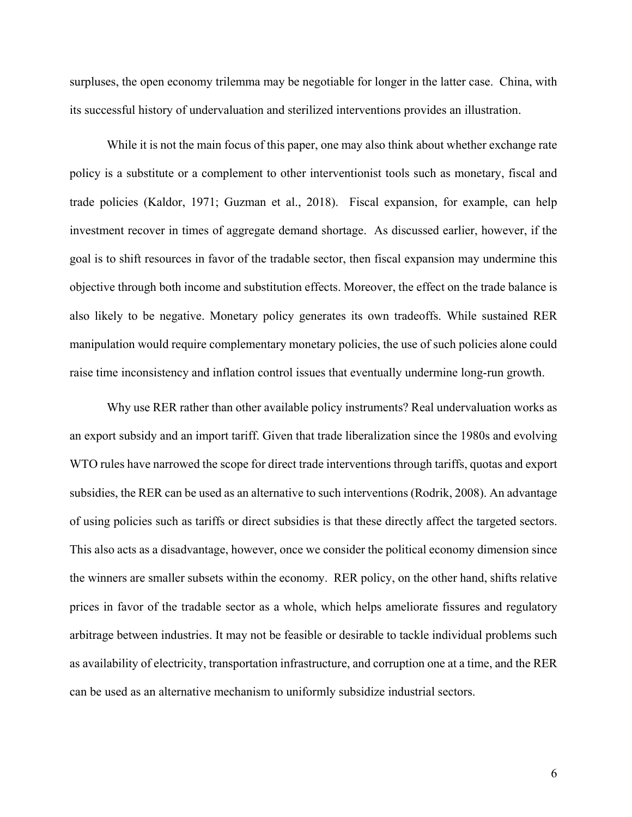surpluses, the open economy trilemma may be negotiable for longer in the latter case. China, with its successful history of undervaluation and sterilized interventions provides an illustration.

While it is not the main focus of this paper, one may also think about whether exchange rate policy is a substitute or a complement to other interventionist tools such as monetary, fiscal and trade policies (Kaldor, 1971; Guzman et al., 2018). Fiscal expansion, for example, can help investment recover in times of aggregate demand shortage. As discussed earlier, however, if the goal is to shift resources in favor of the tradable sector, then fiscal expansion may undermine this objective through both income and substitution effects. Moreover, the effect on the trade balance is also likely to be negative. Monetary policy generates its own tradeoffs. While sustained RER manipulation would require complementary monetary policies, the use of such policies alone could raise time inconsistency and inflation control issues that eventually undermine long-run growth.

Why use RER rather than other available policy instruments? Real undervaluation works as an export subsidy and an import tariff. Given that trade liberalization since the 1980s and evolving WTO rules have narrowed the scope for direct trade interventions through tariffs, quotas and export subsidies, the RER can be used as an alternative to such interventions (Rodrik, 2008). An advantage of using policies such as tariffs or direct subsidies is that these directly affect the targeted sectors. This also acts as a disadvantage, however, once we consider the political economy dimension since the winners are smaller subsets within the economy. RER policy, on the other hand, shifts relative prices in favor of the tradable sector as a whole, which helps ameliorate fissures and regulatory arbitrage between industries. It may not be feasible or desirable to tackle individual problems such as availability of electricity, transportation infrastructure, and corruption one at a time, and the RER can be used as an alternative mechanism to uniformly subsidize industrial sectors.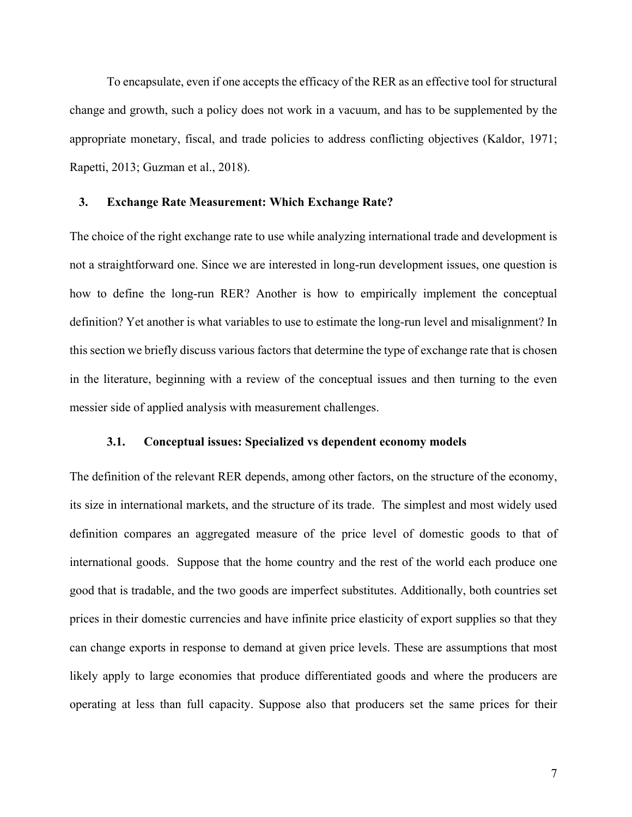To encapsulate, even if one accepts the efficacy of the RER as an effective tool for structural change and growth, such a policy does not work in a vacuum, and has to be supplemented by the appropriate monetary, fiscal, and trade policies to address conflicting objectives (Kaldor, 1971; Rapetti, 2013; Guzman et al., 2018).

## **3. Exchange Rate Measurement: Which Exchange Rate?**

The choice of the right exchange rate to use while analyzing international trade and development is not a straightforward one. Since we are interested in long-run development issues, one question is how to define the long-run RER? Another is how to empirically implement the conceptual definition? Yet another is what variables to use to estimate the long-run level and misalignment? In this section we briefly discuss various factors that determine the type of exchange rate that is chosen in the literature, beginning with a review of the conceptual issues and then turning to the even messier side of applied analysis with measurement challenges.

## **3.1. Conceptual issues: Specialized vs dependent economy models**

The definition of the relevant RER depends, among other factors, on the structure of the economy, its size in international markets, and the structure of its trade. The simplest and most widely used definition compares an aggregated measure of the price level of domestic goods to that of international goods. Suppose that the home country and the rest of the world each produce one good that is tradable, and the two goods are imperfect substitutes. Additionally, both countries set prices in their domestic currencies and have infinite price elasticity of export supplies so that they can change exports in response to demand at given price levels. These are assumptions that most likely apply to large economies that produce differentiated goods and where the producers are operating at less than full capacity. Suppose also that producers set the same prices for their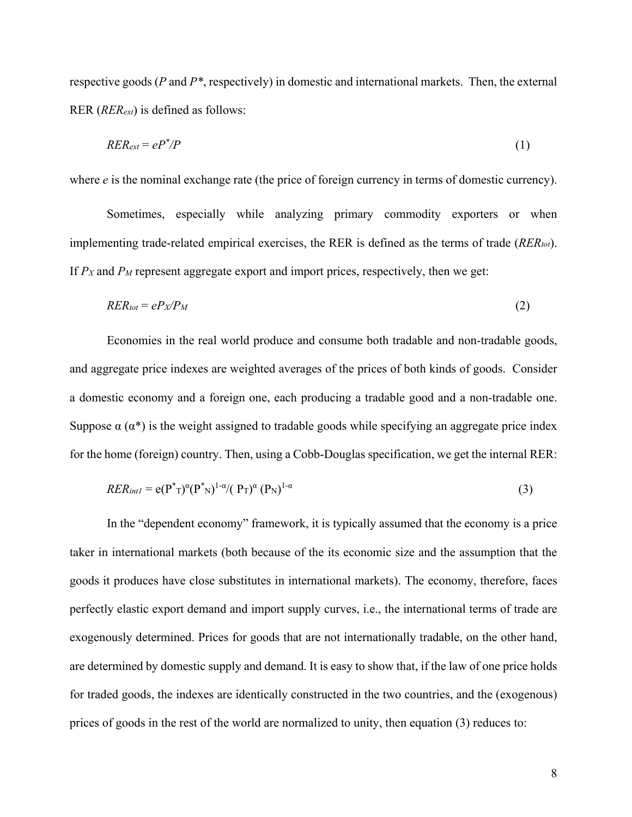respective goods (*P* and *P\**, respectively) in domestic and international markets. Then, the external RER (*RERext*) is defined as follows:

$$
RER_{ext} = eP^*/P \tag{1}
$$

where *e* is the nominal exchange rate (the price of foreign currency in terms of domestic currency).

Sometimes, especially while analyzing primary commodity exporters or when implementing trade-related empirical exercises, the RER is defined as the terms of trade (*RERtot*). If *PX* and *PM* represent aggregate export and import prices, respectively, then we get:

$$
RER_{tot} = ePx/P_M
$$
 (2)

Economies in the real world produce and consume both tradable and non-tradable goods, and aggregate price indexes are weighted averages of the prices of both kinds of goods. Consider a domestic economy and a foreign one, each producing a tradable good and a non-tradable one. Suppose  $\alpha(\alpha^*)$  is the weight assigned to tradable goods while specifying an aggregate price index for the home (foreign) country. Then, using a Cobb-Douglas specification, we get the internal RER:

$$
RER_{int1} = e(P^*T)^{\alpha}(P^*)^{1-\alpha}/(P_T)^{\alpha}(P_N)^{1-\alpha}
$$
\n(3)

In the "dependent economy" framework, it is typically assumed that the economy is a price taker in international markets (both because of the its economic size and the assumption that the goods it produces have close substitutes in international markets). The economy, therefore, faces perfectly elastic export demand and import supply curves, i.e., the international terms of trade are exogenously determined. Prices for goods that are not internationally tradable, on the other hand, are determined by domestic supply and demand. It is easy to show that, if the law of one price holds for traded goods, the indexes are identically constructed in the two countries, and the (exogenous) prices of goods in the rest of the world are normalized to unity, then equation (3) reduces to: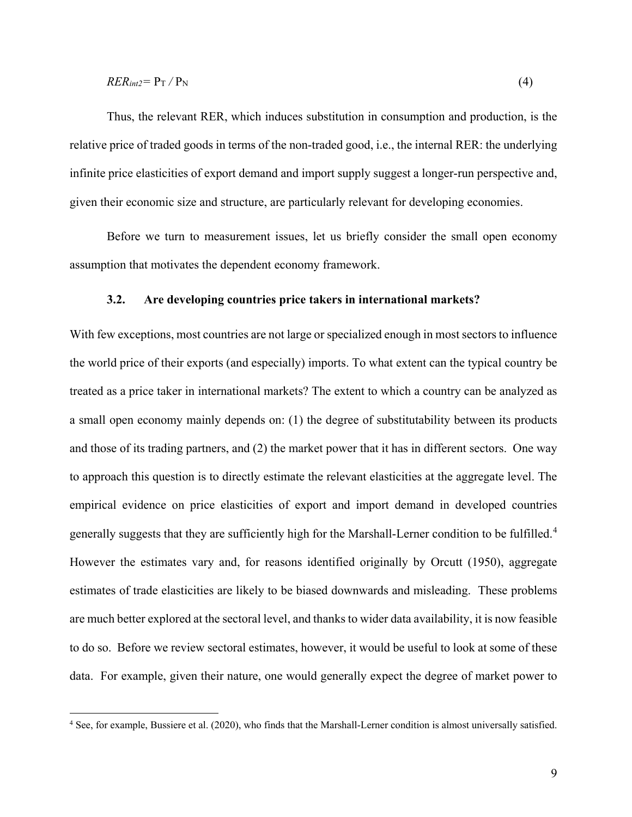## $RER_{int2} = P_T / P_N$  (4)

Thus, the relevant RER, which induces substitution in consumption and production, is the relative price of traded goods in terms of the non-traded good, i.e., the internal RER: the underlying infinite price elasticities of export demand and import supply suggest a longer-run perspective and, given their economic size and structure, are particularly relevant for developing economies.

Before we turn to measurement issues, let us briefly consider the small open economy assumption that motivates the dependent economy framework.

## **3.2. Are developing countries price takers in international markets?**

With few exceptions, most countries are not large or specialized enough in most sectors to influence the world price of their exports (and especially) imports. To what extent can the typical country be treated as a price taker in international markets? The extent to which a country can be analyzed as a small open economy mainly depends on: (1) the degree of substitutability between its products and those of its trading partners, and (2) the market power that it has in different sectors. One way to approach this question is to directly estimate the relevant elasticities at the aggregate level. The empirical evidence on price elasticities of export and import demand in developed countries generally suggests that they are sufficiently high for the Marshall-Lerner condition to be fulfilled.<sup>[4](#page-10-0)</sup> However the estimates vary and, for reasons identified originally by Orcutt (1950), aggregate estimates of trade elasticities are likely to be biased downwards and misleading. These problems are much better explored at the sectoral level, and thanks to wider data availability, it is now feasible to do so. Before we review sectoral estimates, however, it would be useful to look at some of these data. For example, given their nature, one would generally expect the degree of market power to

<span id="page-10-0"></span> <sup>4</sup> See, for example, Bussiere et al. (2020), who finds that the Marshall-Lerner condition is almost universally satisfied.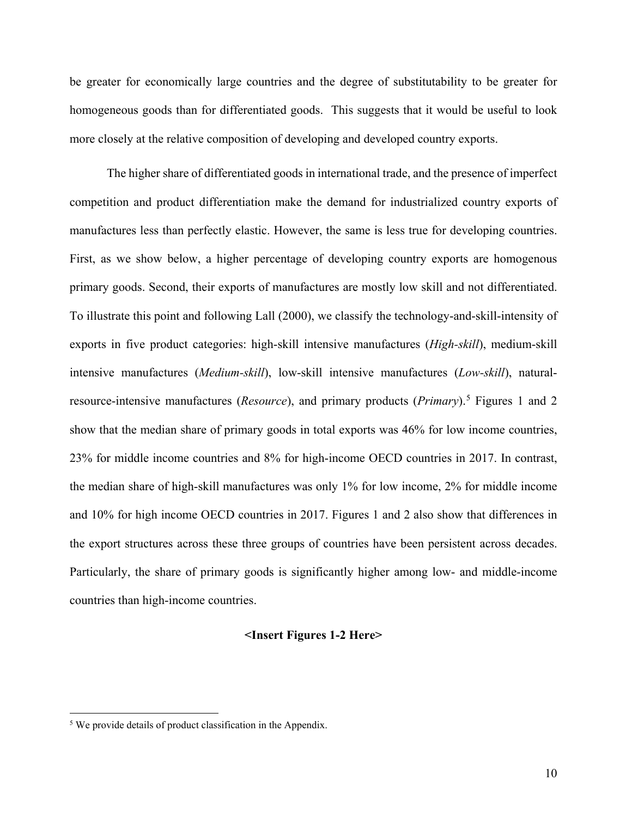be greater for economically large countries and the degree of substitutability to be greater for homogeneous goods than for differentiated goods. This suggests that it would be useful to look more closely at the relative composition of developing and developed country exports.

The higher share of differentiated goods in international trade, and the presence of imperfect competition and product differentiation make the demand for industrialized country exports of manufactures less than perfectly elastic. However, the same is less true for developing countries. First, as we show below, a higher percentage of developing country exports are homogenous primary goods. Second, their exports of manufactures are mostly low skill and not differentiated. To illustrate this point and following Lall (2000), we classify the technology-and-skill-intensity of exports in five product categories: high-skill intensive manufactures (*High-skill*), medium-skill intensive manufactures (*Medium-skill*), low-skill intensive manufactures (*Low-skill*), naturalresource-intensive manufactures (*Resource*), and primary products (*Primary*).[5](#page-11-0) Figures 1 and 2 show that the median share of primary goods in total exports was 46% for low income countries, 23% for middle income countries and 8% for high-income OECD countries in 2017. In contrast, the median share of high-skill manufactures was only 1% for low income, 2% for middle income and 10% for high income OECD countries in 2017. Figures 1 and 2 also show that differences in the export structures across these three groups of countries have been persistent across decades. Particularly, the share of primary goods is significantly higher among low- and middle-income countries than high-income countries.

## **<Insert Figures 1-2 Here>**

<span id="page-11-0"></span><sup>&</sup>lt;sup>5</sup> We provide details of product classification in the Appendix.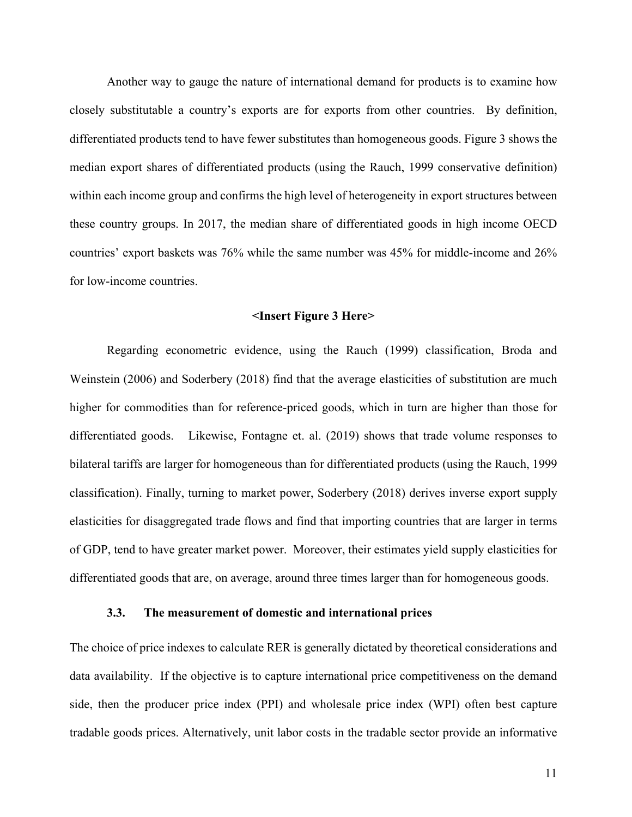Another way to gauge the nature of international demand for products is to examine how closely substitutable a country's exports are for exports from other countries. By definition, differentiated products tend to have fewer substitutes than homogeneous goods. Figure 3 shows the median export shares of differentiated products (using the Rauch, 1999 conservative definition) within each income group and confirms the high level of heterogeneity in export structures between these country groups. In 2017, the median share of differentiated goods in high income OECD countries' export baskets was 76% while the same number was 45% for middle-income and 26% for low-income countries.

#### **<Insert Figure 3 Here>**

Regarding econometric evidence, using the Rauch (1999) classification, Broda and Weinstein (2006) and Soderbery (2018) find that the average elasticities of substitution are much higher for commodities than for reference-priced goods, which in turn are higher than those for differentiated goods. Likewise, Fontagne et. al. (2019) shows that trade volume responses to bilateral tariffs are larger for homogeneous than for differentiated products (using the Rauch, 1999 classification). Finally, turning to market power, Soderbery (2018) derives inverse export supply elasticities for disaggregated trade flows and find that importing countries that are larger in terms of GDP, tend to have greater market power. Moreover, their estimates yield supply elasticities for differentiated goods that are, on average, around three times larger than for homogeneous goods.

## **3.3. The measurement of domestic and international prices**

The choice of price indexes to calculate RER is generally dictated by theoretical considerations and data availability. If the objective is to capture international price competitiveness on the demand side, then the producer price index (PPI) and wholesale price index (WPI) often best capture tradable goods prices. Alternatively, unit labor costs in the tradable sector provide an informative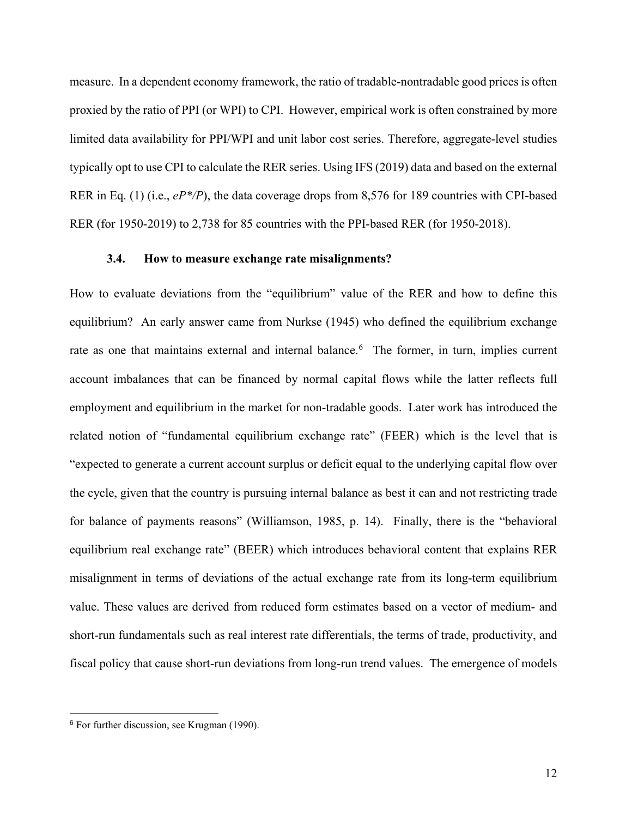measure. In a dependent economy framework, the ratio of tradable-nontradable good prices is often proxied by the ratio of PPI (or WPI) to CPI. However, empirical work is often constrained by more limited data availability for PPI/WPI and unit labor cost series. Therefore, aggregate-level studies typically opt to use CPI to calculate the RER series. Using IFS (2019) data and based on the external RER in Eq. (1) (i.e., *eP\*/P*), the data coverage drops from 8,576 for 189 countries with CPI-based RER (for 1950-2019) to 2,738 for 85 countries with the PPI-based RER (for 1950-2018).

## **3.4. How to measure exchange rate misalignments?**

How to evaluate deviations from the "equilibrium" value of the RER and how to define this equilibrium? An early answer came from Nurkse (1945) who defined the equilibrium exchange rate as one that maintains external and internal balance.<sup>[6](#page-13-0)</sup> The former, in turn, implies current account imbalances that can be financed by normal capital flows while the latter reflects full employment and equilibrium in the market for non-tradable goods. Later work has introduced the related notion of "fundamental equilibrium exchange rate" (FEER) which is the level that is "expected to generate a current account surplus or deficit equal to the underlying capital flow over the cycle, given that the country is pursuing internal balance as best it can and not restricting trade for balance of payments reasons" (Williamson, 1985, p. 14). Finally, there is the "behavioral equilibrium real exchange rate" (BEER) which introduces behavioral content that explains RER misalignment in terms of deviations of the actual exchange rate from its long-term equilibrium value. These values are derived from reduced form estimates based on a vector of medium- and short-run fundamentals such as real interest rate differentials, the terms of trade, productivity, and fiscal policy that cause short-run deviations from long-run trend values. The emergence of models

 $\overline{a}$ 

<span id="page-13-0"></span><sup>6</sup> For further discussion, see Krugman (1990).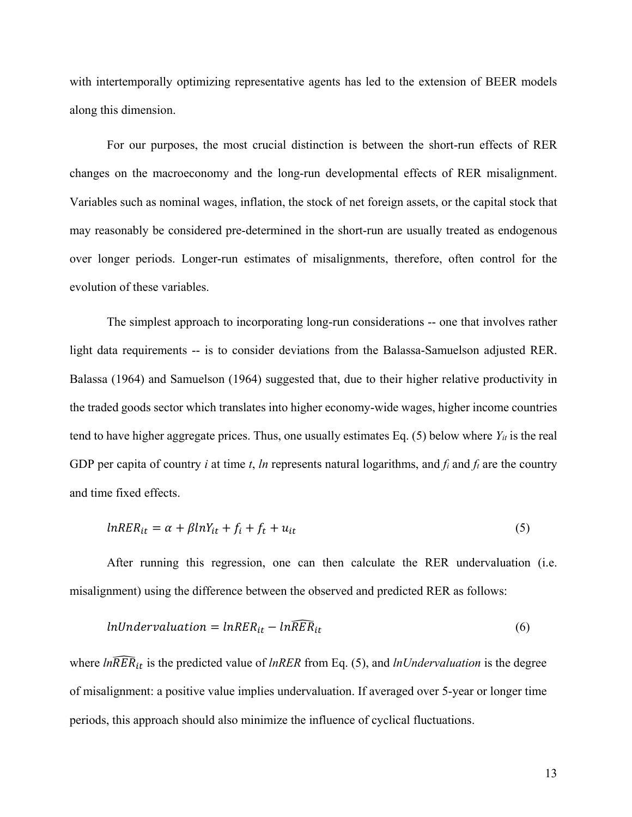with intertemporally optimizing representative agents has led to the extension of BEER models along this dimension.

For our purposes, the most crucial distinction is between the short-run effects of RER changes on the macroeconomy and the long-run developmental effects of RER misalignment. Variables such as nominal wages, inflation, the stock of net foreign assets, or the capital stock that may reasonably be considered pre-determined in the short-run are usually treated as endogenous over longer periods. Longer-run estimates of misalignments, therefore, often control for the evolution of these variables.

The simplest approach to incorporating long-run considerations -- one that involves rather light data requirements -- is to consider deviations from the Balassa-Samuelson adjusted RER. Balassa (1964) and Samuelson (1964) suggested that, due to their higher relative productivity in the traded goods sector which translates into higher economy-wide wages, higher income countries tend to have higher aggregate prices. Thus, one usually estimates Eq.  $(5)$  below where  $Y_{it}$  is the real GDP per capita of country *i* at time *t*, *ln* represents natural logarithms, and  $f_i$  and  $f_f$  are the country and time fixed effects.

$$
lnRER_{it} = \alpha + \beta lnY_{it} + f_i + f_t + u_{it}
$$
\n<sup>(5)</sup>

After running this regression, one can then calculate the RER undervaluation (i.e. misalignment) using the difference between the observed and predicted RER as follows:

$$
InUnder valuation = lnRER_{it} - ln\widehat{RER}_{it}
$$
\n(6)

where  $ln\widehat{RER}_{it}$  is the predicted value of *lnRER* from Eq. (5), and *lnUndervaluation* is the degree of misalignment: a positive value implies undervaluation. If averaged over 5-year or longer time periods, this approach should also minimize the influence of cyclical fluctuations.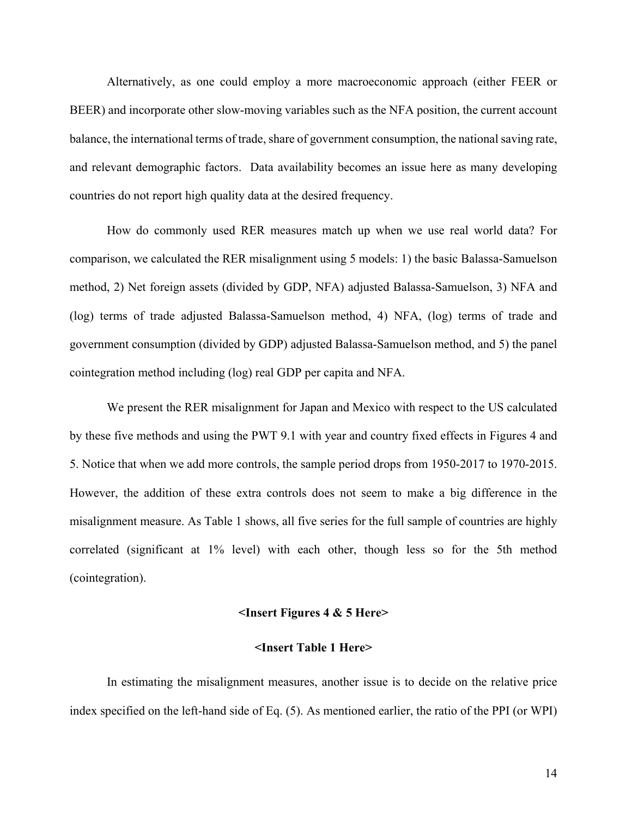Alternatively, as one could employ a more macroeconomic approach (either FEER or BEER) and incorporate other slow-moving variables such as the NFA position, the current account balance, the international terms of trade, share of government consumption, the national saving rate, and relevant demographic factors. Data availability becomes an issue here as many developing countries do not report high quality data at the desired frequency.

How do commonly used RER measures match up when we use real world data? For comparison, we calculated the RER misalignment using 5 models: 1) the basic Balassa-Samuelson method, 2) Net foreign assets (divided by GDP, NFA) adjusted Balassa-Samuelson, 3) NFA and (log) terms of trade adjusted Balassa-Samuelson method, 4) NFA, (log) terms of trade and government consumption (divided by GDP) adjusted Balassa-Samuelson method, and 5) the panel cointegration method including (log) real GDP per capita and NFA.

We present the RER misalignment for Japan and Mexico with respect to the US calculated by these five methods and using the PWT 9.1 with year and country fixed effects in Figures 4 and 5. Notice that when we add more controls, the sample period drops from 1950-2017 to 1970-2015. However, the addition of these extra controls does not seem to make a big difference in the misalignment measure. As Table 1 shows, all five series for the full sample of countries are highly correlated (significant at 1% level) with each other, though less so for the 5th method (cointegration).

## **<Insert Figures 4 & 5 Here>**

## **<Insert Table 1 Here>**

In estimating the misalignment measures, another issue is to decide on the relative price index specified on the left-hand side of Eq. (5). As mentioned earlier, the ratio of the PPI (or WPI)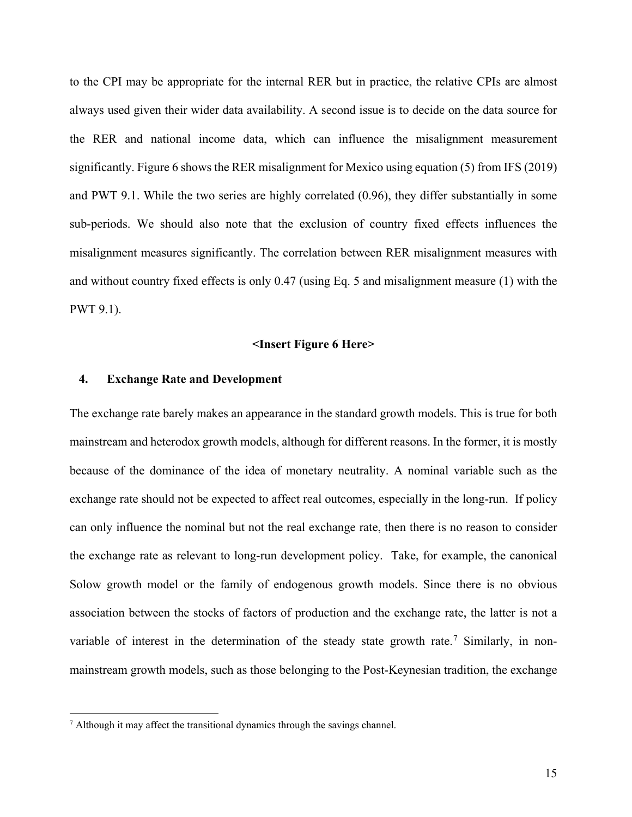to the CPI may be appropriate for the internal RER but in practice, the relative CPIs are almost always used given their wider data availability. A second issue is to decide on the data source for the RER and national income data, which can influence the misalignment measurement significantly. Figure 6 shows the RER misalignment for Mexico using equation (5) from IFS (2019) and PWT 9.1. While the two series are highly correlated (0.96), they differ substantially in some sub-periods. We should also note that the exclusion of country fixed effects influences the misalignment measures significantly. The correlation between RER misalignment measures with and without country fixed effects is only 0.47 (using Eq. 5 and misalignment measure (1) with the PWT 9.1).

## **<Insert Figure 6 Here>**

## **4. Exchange Rate and Development**

The exchange rate barely makes an appearance in the standard growth models. This is true for both mainstream and heterodox growth models, although for different reasons. In the former, it is mostly because of the dominance of the idea of monetary neutrality. A nominal variable such as the exchange rate should not be expected to affect real outcomes, especially in the long-run. If policy can only influence the nominal but not the real exchange rate, then there is no reason to consider the exchange rate as relevant to long-run development policy. Take, for example, the canonical Solow growth model or the family of endogenous growth models. Since there is no obvious association between the stocks of factors of production and the exchange rate, the latter is not a variable of interest in the determination of the steady state growth rate.<sup>[7](#page-16-0)</sup> Similarly, in nonmainstream growth models, such as those belonging to the Post-Keynesian tradition, the exchange

<span id="page-16-0"></span> $<sup>7</sup>$  Although it may affect the transitional dynamics through the savings channel.</sup>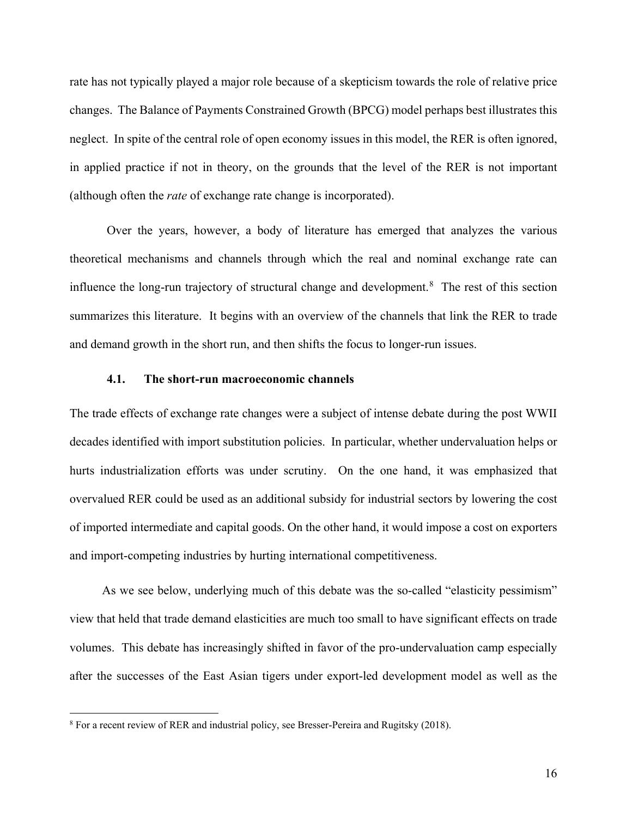rate has not typically played a major role because of a skepticism towards the role of relative price changes. The Balance of Payments Constrained Growth (BPCG) model perhaps best illustrates this neglect. In spite of the central role of open economy issues in this model, the RER is often ignored, in applied practice if not in theory, on the grounds that the level of the RER is not important (although often the *rate* of exchange rate change is incorporated).

Over the years, however, a body of literature has emerged that analyzes the various theoretical mechanisms and channels through which the real and nominal exchange rate can influence the long-run trajectory of structural change and development.<sup>[8](#page-17-0)</sup> The rest of this section summarizes this literature. It begins with an overview of the channels that link the RER to trade and demand growth in the short run, and then shifts the focus to longer-run issues.

## **4.1. The short-run macroeconomic channels**

The trade effects of exchange rate changes were a subject of intense debate during the post WWII decades identified with import substitution policies. In particular, whether undervaluation helps or hurts industrialization efforts was under scrutiny. On the one hand, it was emphasized that overvalued RER could be used as an additional subsidy for industrial sectors by lowering the cost of imported intermediate and capital goods. On the other hand, it would impose a cost on exporters and import-competing industries by hurting international competitiveness.

As we see below, underlying much of this debate was the so-called "elasticity pessimism" view that held that trade demand elasticities are much too small to have significant effects on trade volumes. This debate has increasingly shifted in favor of the pro-undervaluation camp especially after the successes of the East Asian tigers under export-led development model as well as the

<span id="page-17-0"></span><sup>&</sup>lt;sup>8</sup> For a recent review of RER and industrial policy, see Bresser-Pereira and Rugitsky (2018).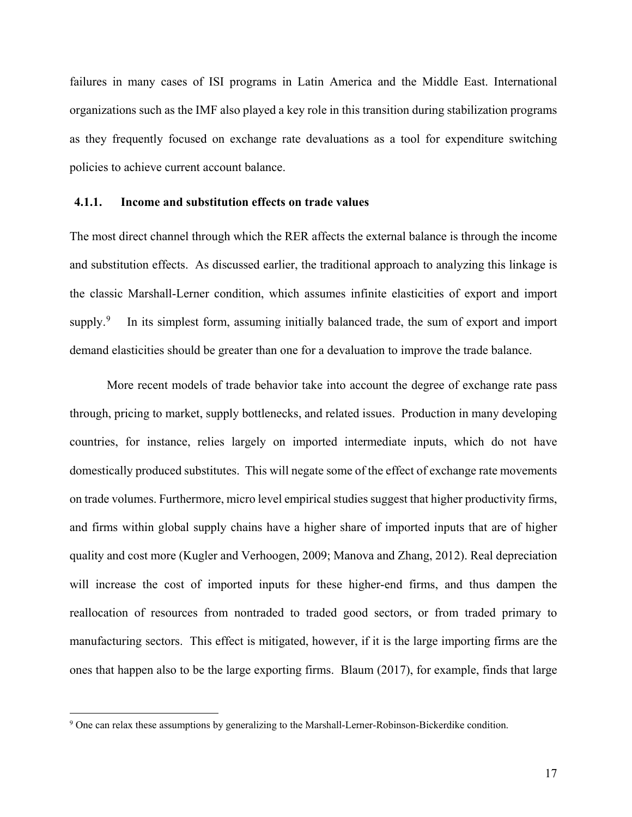failures in many cases of ISI programs in Latin America and the Middle East. International organizations such as the IMF also played a key role in this transition during stabilization programs as they frequently focused on exchange rate devaluations as a tool for expenditure switching policies to achieve current account balance.

## **4.1.1. Income and substitution effects on trade values**

The most direct channel through which the RER affects the external balance is through the income and substitution effects. As discussed earlier, the traditional approach to analyzing this linkage is the classic Marshall-Lerner condition, which assumes infinite elasticities of export and import supply. $9$  In its simplest form, assuming initially balanced trade, the sum of export and import demand elasticities should be greater than one for a devaluation to improve the trade balance.

More recent models of trade behavior take into account the degree of exchange rate pass through, pricing to market, supply bottlenecks, and related issues. Production in many developing countries, for instance, relies largely on imported intermediate inputs, which do not have domestically produced substitutes. This will negate some of the effect of exchange rate movements on trade volumes. Furthermore, micro level empirical studies suggest that higher productivity firms, and firms within global supply chains have a higher share of imported inputs that are of higher quality and cost more (Kugler and Verhoogen, 2009; Manova and Zhang, 2012). Real depreciation will increase the cost of imported inputs for these higher-end firms, and thus dampen the reallocation of resources from nontraded to traded good sectors, or from traded primary to manufacturing sectors. This effect is mitigated, however, if it is the large importing firms are the ones that happen also to be the large exporting firms. Blaum (2017), for example, finds that large

<span id="page-18-0"></span><sup>&</sup>lt;sup>9</sup> One can relax these assumptions by generalizing to the Marshall-Lerner-Robinson-Bickerdike condition.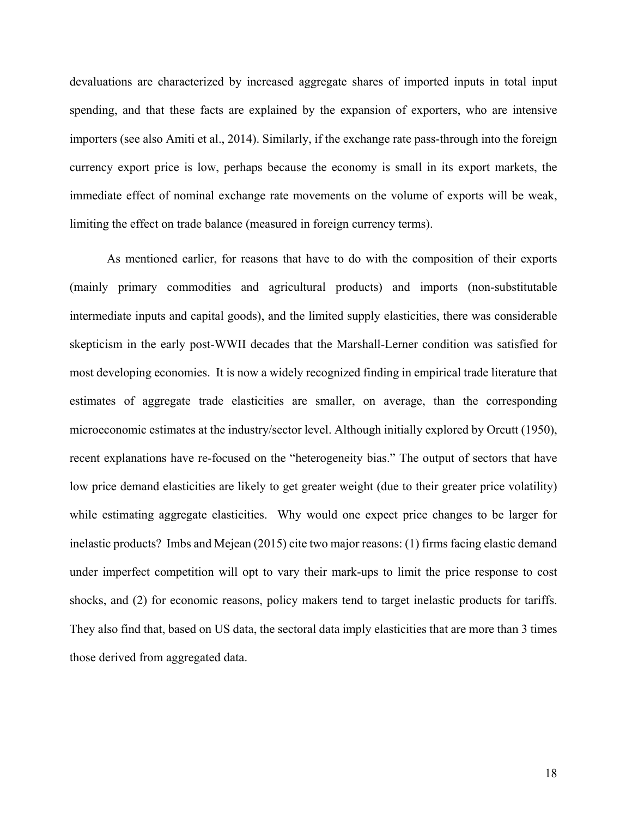devaluations are characterized by increased aggregate shares of imported inputs in total input spending, and that these facts are explained by the expansion of exporters, who are intensive importers (see also Amiti et al., 2014). Similarly, if the exchange rate pass-through into the foreign currency export price is low, perhaps because the economy is small in its export markets, the immediate effect of nominal exchange rate movements on the volume of exports will be weak, limiting the effect on trade balance (measured in foreign currency terms).

As mentioned earlier, for reasons that have to do with the composition of their exports (mainly primary commodities and agricultural products) and imports (non-substitutable intermediate inputs and capital goods), and the limited supply elasticities, there was considerable skepticism in the early post-WWII decades that the Marshall-Lerner condition was satisfied for most developing economies. It is now a widely recognized finding in empirical trade literature that estimates of aggregate trade elasticities are smaller, on average, than the corresponding microeconomic estimates at the industry/sector level. Although initially explored by Orcutt (1950), recent explanations have re-focused on the "heterogeneity bias." The output of sectors that have low price demand elasticities are likely to get greater weight (due to their greater price volatility) while estimating aggregate elasticities. Why would one expect price changes to be larger for inelastic products? Imbs and Mejean (2015) cite two major reasons: (1) firms facing elastic demand under imperfect competition will opt to vary their mark-ups to limit the price response to cost shocks, and (2) for economic reasons, policy makers tend to target inelastic products for tariffs. They also find that, based on US data, the sectoral data imply elasticities that are more than 3 times those derived from aggregated data.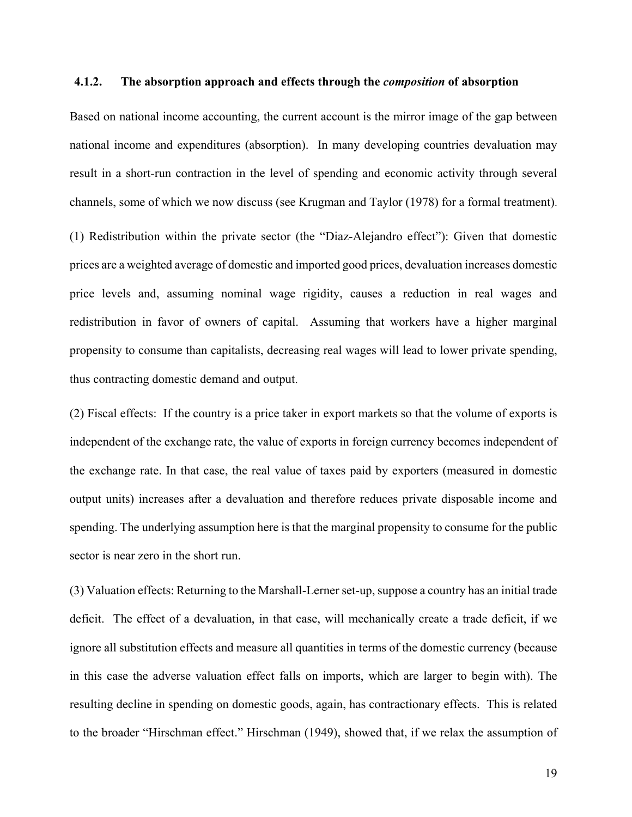## **4.1.2. The absorption approach and effects through the** *composition* **of absorption**

Based on national income accounting, the current account is the mirror image of the gap between national income and expenditures (absorption). In many developing countries devaluation may result in a short-run contraction in the level of spending and economic activity through several channels, some of which we now discuss (see Krugman and Taylor (1978) for a formal treatment).

(1) Redistribution within the private sector (the "Diaz-Alejandro effect"): Given that domestic prices are a weighted average of domestic and imported good prices, devaluation increases domestic price levels and, assuming nominal wage rigidity, causes a reduction in real wages and redistribution in favor of owners of capital. Assuming that workers have a higher marginal propensity to consume than capitalists, decreasing real wages will lead to lower private spending, thus contracting domestic demand and output.

(2) Fiscal effects: If the country is a price taker in export markets so that the volume of exports is independent of the exchange rate, the value of exports in foreign currency becomes independent of the exchange rate. In that case, the real value of taxes paid by exporters (measured in domestic output units) increases after a devaluation and therefore reduces private disposable income and spending. The underlying assumption here is that the marginal propensity to consume for the public sector is near zero in the short run.

(3) Valuation effects: Returning to the Marshall-Lerner set-up, suppose a country has an initial trade deficit. The effect of a devaluation, in that case, will mechanically create a trade deficit, if we ignore all substitution effects and measure all quantities in terms of the domestic currency (because in this case the adverse valuation effect falls on imports, which are larger to begin with). The resulting decline in spending on domestic goods, again, has contractionary effects. This is related to the broader "Hirschman effect." Hirschman (1949), showed that, if we relax the assumption of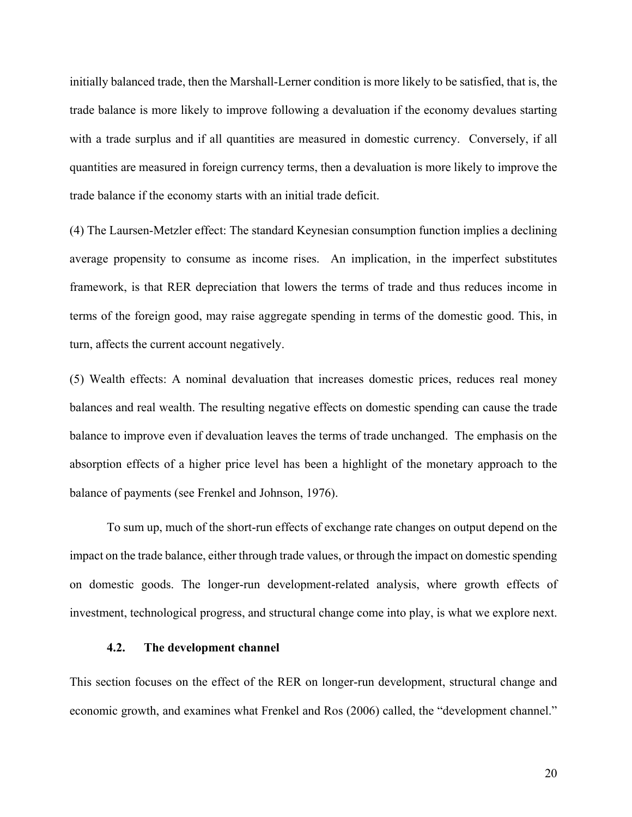initially balanced trade, then the Marshall-Lerner condition is more likely to be satisfied, that is, the trade balance is more likely to improve following a devaluation if the economy devalues starting with a trade surplus and if all quantities are measured in domestic currency. Conversely, if all quantities are measured in foreign currency terms, then a devaluation is more likely to improve the trade balance if the economy starts with an initial trade deficit.

(4) The Laursen-Metzler effect: The standard Keynesian consumption function implies a declining average propensity to consume as income rises. An implication, in the imperfect substitutes framework, is that RER depreciation that lowers the terms of trade and thus reduces income in terms of the foreign good, may raise aggregate spending in terms of the domestic good. This, in turn, affects the current account negatively.

(5) Wealth effects: A nominal devaluation that increases domestic prices, reduces real money balances and real wealth. The resulting negative effects on domestic spending can cause the trade balance to improve even if devaluation leaves the terms of trade unchanged. The emphasis on the absorption effects of a higher price level has been a highlight of the monetary approach to the balance of payments (see Frenkel and Johnson, 1976).

To sum up, much of the short-run effects of exchange rate changes on output depend on the impact on the trade balance, either through trade values, or through the impact on domestic spending on domestic goods. The longer-run development-related analysis, where growth effects of investment, technological progress, and structural change come into play, is what we explore next.

## **4.2. The development channel**

This section focuses on the effect of the RER on longer-run development, structural change and economic growth, and examines what Frenkel and Ros (2006) called, the "development channel."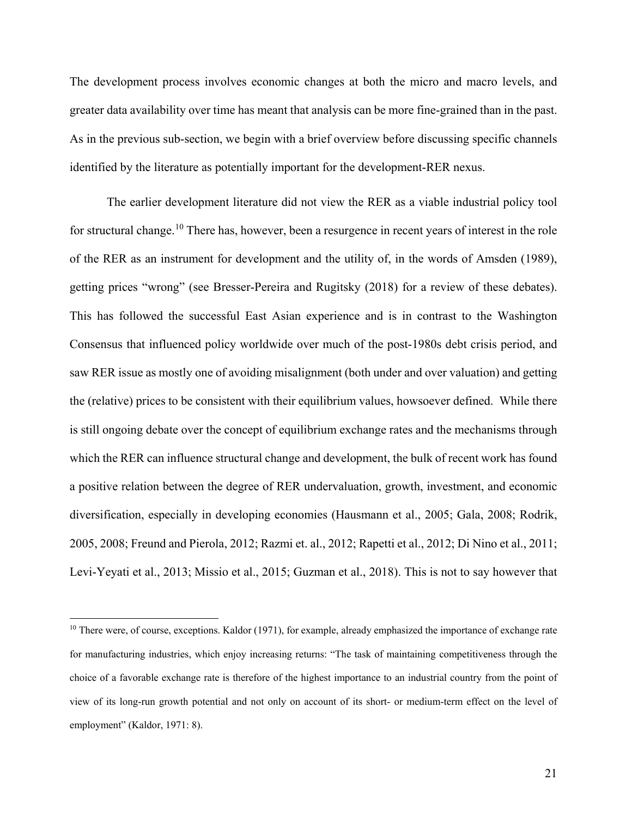The development process involves economic changes at both the micro and macro levels, and greater data availability over time has meant that analysis can be more fine-grained than in the past. As in the previous sub-section, we begin with a brief overview before discussing specific channels identified by the literature as potentially important for the development-RER nexus.

The earlier development literature did not view the RER as a viable industrial policy tool for structural change.<sup>[10](#page-22-0)</sup> There has, however, been a resurgence in recent years of interest in the role of the RER as an instrument for development and the utility of, in the words of Amsden (1989), getting prices "wrong" (see Bresser-Pereira and Rugitsky (2018) for a review of these debates). This has followed the successful East Asian experience and is in contrast to the Washington Consensus that influenced policy worldwide over much of the post-1980s debt crisis period, and saw RER issue as mostly one of avoiding misalignment (both under and over valuation) and getting the (relative) prices to be consistent with their equilibrium values, howsoever defined. While there is still ongoing debate over the concept of equilibrium exchange rates and the mechanisms through which the RER can influence structural change and development, the bulk of recent work has found a positive relation between the degree of RER undervaluation, growth, investment, and economic diversification, especially in developing economies (Hausmann et al., 2005; Gala, 2008; Rodrik, 2005, 2008; Freund and Pierola, 2012; Razmi et. al., 2012; Rapetti et al., 2012; Di Nino et al., 2011; Levi-Yeyati et al., 2013; Missio et al., 2015; Guzman et al., 2018). This is not to say however that

<span id="page-22-0"></span><sup>&</sup>lt;sup>10</sup> There were, of course, exceptions. Kaldor (1971), for example, already emphasized the importance of exchange rate for manufacturing industries, which enjoy increasing returns: "The task of maintaining competitiveness through the choice of a favorable exchange rate is therefore of the highest importance to an industrial country from the point of view of its long-run growth potential and not only on account of its short- or medium-term effect on the level of employment" (Kaldor, 1971: 8).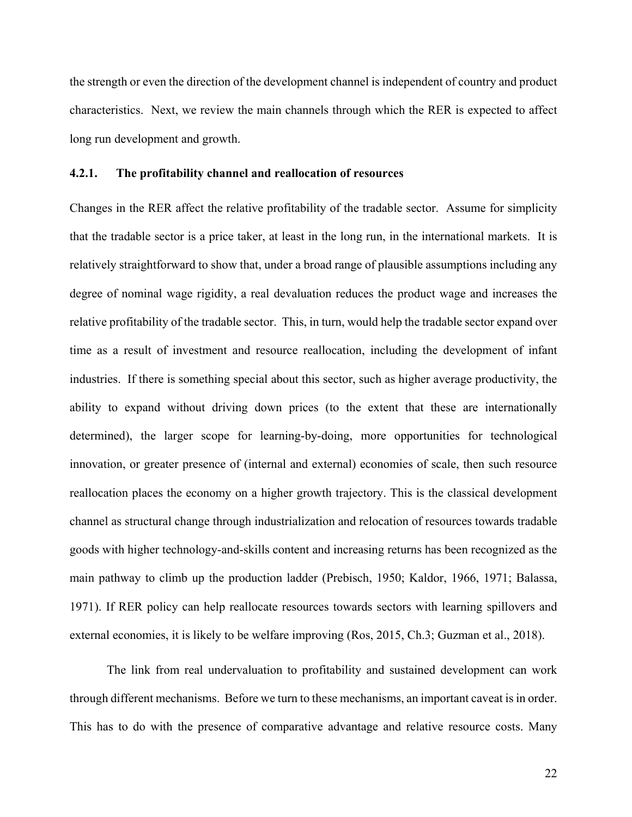the strength or even the direction of the development channel is independent of country and product characteristics. Next, we review the main channels through which the RER is expected to affect long run development and growth.

## **4.2.1. The profitability channel and reallocation of resources**

Changes in the RER affect the relative profitability of the tradable sector. Assume for simplicity that the tradable sector is a price taker, at least in the long run, in the international markets. It is relatively straightforward to show that, under a broad range of plausible assumptions including any degree of nominal wage rigidity, a real devaluation reduces the product wage and increases the relative profitability of the tradable sector. This, in turn, would help the tradable sector expand over time as a result of investment and resource reallocation, including the development of infant industries. If there is something special about this sector, such as higher average productivity, the ability to expand without driving down prices (to the extent that these are internationally determined), the larger scope for learning-by-doing, more opportunities for technological innovation, or greater presence of (internal and external) economies of scale, then such resource reallocation places the economy on a higher growth trajectory. This is the classical development channel as structural change through industrialization and relocation of resources towards tradable goods with higher technology-and-skills content and increasing returns has been recognized as the main pathway to climb up the production ladder (Prebisch, 1950; Kaldor, 1966, 1971; Balassa, 1971). If RER policy can help reallocate resources towards sectors with learning spillovers and external economies, it is likely to be welfare improving (Ros, 2015, Ch.3; Guzman et al., 2018).

The link from real undervaluation to profitability and sustained development can work through different mechanisms. Before we turn to these mechanisms, an important caveat is in order. This has to do with the presence of comparative advantage and relative resource costs. Many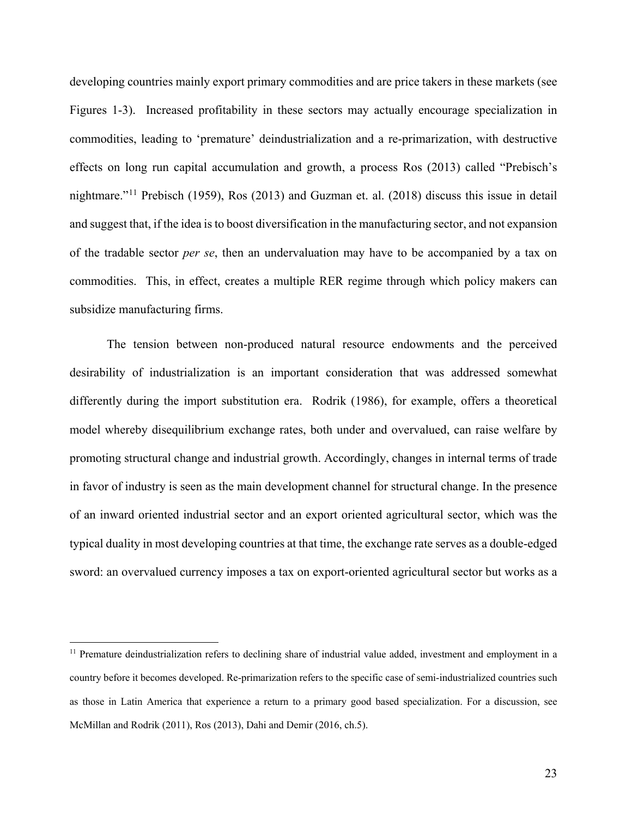developing countries mainly export primary commodities and are price takers in these markets (see Figures 1-3). Increased profitability in these sectors may actually encourage specialization in commodities, leading to 'premature' deindustrialization and a re-primarization, with destructive effects on long run capital accumulation and growth, a process Ros (2013) called "Prebisch's nightmare."[11](#page-24-0) Prebisch (1959), Ros (2013) and Guzman et. al. (2018) discuss this issue in detail and suggest that, if the idea is to boost diversification in the manufacturing sector, and not expansion of the tradable sector *per se*, then an undervaluation may have to be accompanied by a tax on commodities. This, in effect, creates a multiple RER regime through which policy makers can subsidize manufacturing firms.

The tension between non-produced natural resource endowments and the perceived desirability of industrialization is an important consideration that was addressed somewhat differently during the import substitution era. Rodrik (1986), for example, offers a theoretical model whereby disequilibrium exchange rates, both under and overvalued, can raise welfare by promoting structural change and industrial growth. Accordingly, changes in internal terms of trade in favor of industry is seen as the main development channel for structural change. In the presence of an inward oriented industrial sector and an export oriented agricultural sector, which was the typical duality in most developing countries at that time, the exchange rate serves as a double-edged sword: an overvalued currency imposes a tax on export-oriented agricultural sector but works as a

<span id="page-24-0"></span> $11$  Premature deindustrialization refers to declining share of industrial value added, investment and employment in a country before it becomes developed. Re-primarization refers to the specific case of semi-industrialized countries such as those in Latin America that experience a return to a primary good based specialization. For a discussion, see McMillan and Rodrik (2011), Ros (2013), Dahi and Demir (2016, ch.5).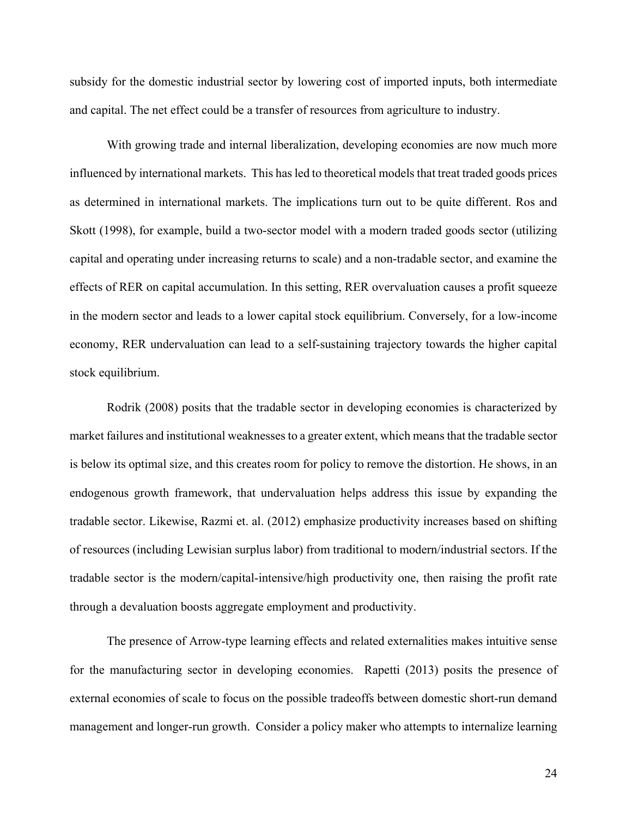subsidy for the domestic industrial sector by lowering cost of imported inputs, both intermediate and capital. The net effect could be a transfer of resources from agriculture to industry.

With growing trade and internal liberalization, developing economies are now much more influenced by international markets. This has led to theoretical models that treat traded goods prices as determined in international markets. The implications turn out to be quite different. Ros and Skott (1998), for example, build a two-sector model with a modern traded goods sector (utilizing capital and operating under increasing returns to scale) and a non-tradable sector, and examine the effects of RER on capital accumulation. In this setting, RER overvaluation causes a profit squeeze in the modern sector and leads to a lower capital stock equilibrium. Conversely, for a low-income economy, RER undervaluation can lead to a self-sustaining trajectory towards the higher capital stock equilibrium.

Rodrik (2008) posits that the tradable sector in developing economies is characterized by market failures and institutional weaknesses to a greater extent, which means that the tradable sector is below its optimal size, and this creates room for policy to remove the distortion. He shows, in an endogenous growth framework, that undervaluation helps address this issue by expanding the tradable sector. Likewise, Razmi et. al. (2012) emphasize productivity increases based on shifting of resources (including Lewisian surplus labor) from traditional to modern/industrial sectors. If the tradable sector is the modern/capital-intensive/high productivity one, then raising the profit rate through a devaluation boosts aggregate employment and productivity.

The presence of Arrow-type learning effects and related externalities makes intuitive sense for the manufacturing sector in developing economies. Rapetti (2013) posits the presence of external economies of scale to focus on the possible tradeoffs between domestic short-run demand management and longer-run growth. Consider a policy maker who attempts to internalize learning

24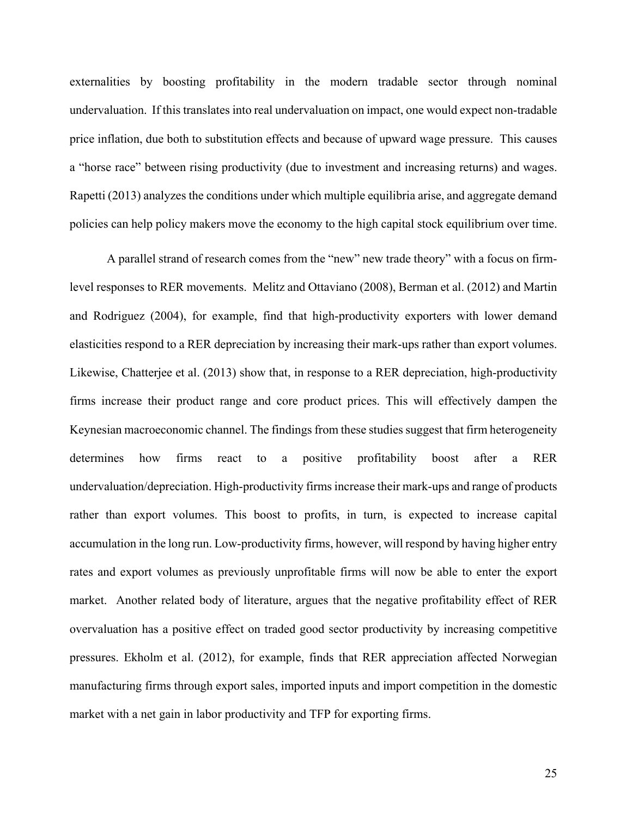externalities by boosting profitability in the modern tradable sector through nominal undervaluation. If this translates into real undervaluation on impact, one would expect non-tradable price inflation, due both to substitution effects and because of upward wage pressure. This causes a "horse race" between rising productivity (due to investment and increasing returns) and wages. Rapetti (2013) analyzes the conditions under which multiple equilibria arise, and aggregate demand policies can help policy makers move the economy to the high capital stock equilibrium over time.

A parallel strand of research comes from the "new" new trade theory" with a focus on firmlevel responses to RER movements. Melitz and Ottaviano (2008), Berman et al. (2012) and Martin and Rodriguez (2004), for example, find that high-productivity exporters with lower demand elasticities respond to a RER depreciation by increasing their mark-ups rather than export volumes. Likewise, Chatterjee et al. (2013) show that, in response to a RER depreciation, high-productivity firms increase their product range and core product prices. This will effectively dampen the Keynesian macroeconomic channel. The findings from these studies suggest that firm heterogeneity determines how firms react to a positive profitability boost after a RER undervaluation/depreciation. High-productivity firms increase their mark-ups and range of products rather than export volumes. This boost to profits, in turn, is expected to increase capital accumulation in the long run. Low-productivity firms, however, will respond by having higher entry rates and export volumes as previously unprofitable firms will now be able to enter the export market. Another related body of literature, argues that the negative profitability effect of RER overvaluation has a positive effect on traded good sector productivity by increasing competitive pressures. Ekholm et al. (2012), for example, finds that RER appreciation affected Norwegian manufacturing firms through export sales, imported inputs and import competition in the domestic market with a net gain in labor productivity and TFP for exporting firms.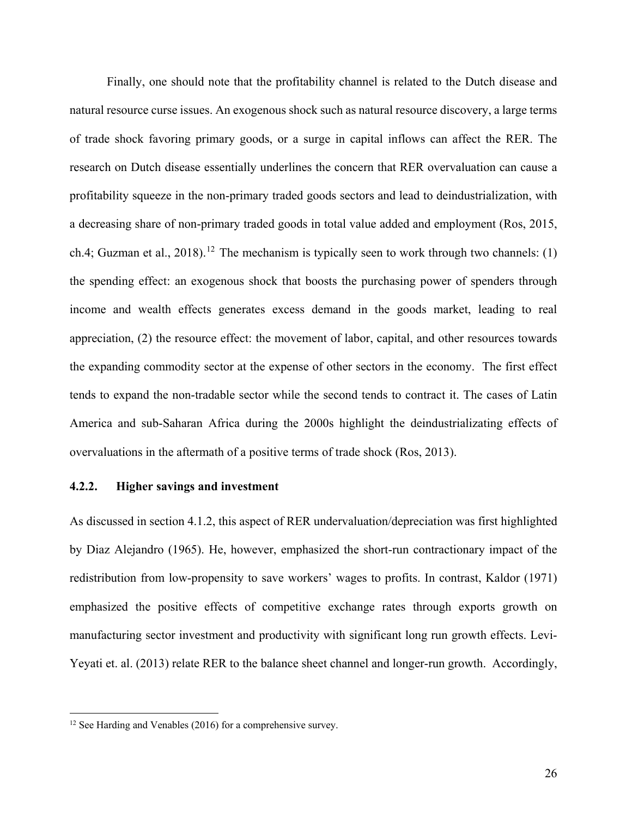Finally, one should note that the profitability channel is related to the Dutch disease and natural resource curse issues. An exogenous shock such as natural resource discovery, a large terms of trade shock favoring primary goods, or a surge in capital inflows can affect the RER. The research on Dutch disease essentially underlines the concern that RER overvaluation can cause a profitability squeeze in the non-primary traded goods sectors and lead to deindustrialization, with a decreasing share of non-primary traded goods in total value added and employment (Ros, 2015, ch.4; Guzman et al., 2018).<sup>[12](#page-27-0)</sup> The mechanism is typically seen to work through two channels: (1) the spending effect: an exogenous shock that boosts the purchasing power of spenders through income and wealth effects generates excess demand in the goods market, leading to real appreciation, (2) the resource effect: the movement of labor, capital, and other resources towards the expanding commodity sector at the expense of other sectors in the economy. The first effect tends to expand the non-tradable sector while the second tends to contract it. The cases of Latin America and sub-Saharan Africa during the 2000s highlight the deindustrializating effects of overvaluations in the aftermath of a positive terms of trade shock (Ros, 2013).

## **4.2.2. Higher savings and investment**

As discussed in section 4.1.2, this aspect of RER undervaluation/depreciation was first highlighted by Diaz Alejandro (1965). He, however, emphasized the short-run contractionary impact of the redistribution from low-propensity to save workers' wages to profits. In contrast, Kaldor (1971) emphasized the positive effects of competitive exchange rates through exports growth on manufacturing sector investment and productivity with significant long run growth effects. Levi-Yeyati et. al. (2013) relate RER to the balance sheet channel and longer-run growth. Accordingly,

<span id="page-27-0"></span> $12$  See Harding and Venables (2016) for a comprehensive survey.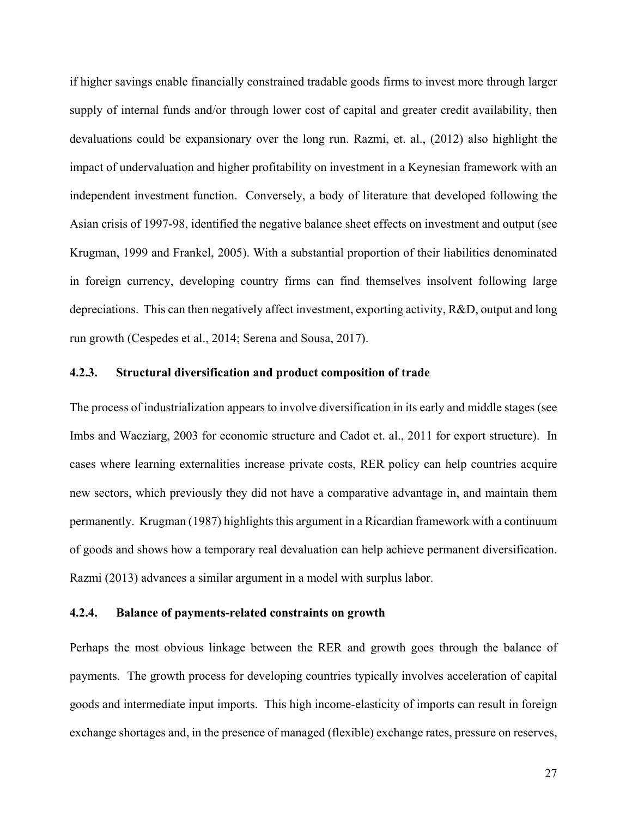if higher savings enable financially constrained tradable goods firms to invest more through larger supply of internal funds and/or through lower cost of capital and greater credit availability, then devaluations could be expansionary over the long run. Razmi, et. al., (2012) also highlight the impact of undervaluation and higher profitability on investment in a Keynesian framework with an independent investment function. Conversely, a body of literature that developed following the Asian crisis of 1997-98, identified the negative balance sheet effects on investment and output (see Krugman, 1999 and Frankel, 2005). With a substantial proportion of their liabilities denominated in foreign currency, developing country firms can find themselves insolvent following large depreciations. This can then negatively affect investment, exporting activity, R&D, output and long run growth (Cespedes et al., 2014; Serena and Sousa, 2017).

## **4.2.3. Structural diversification and product composition of trade**

The process of industrialization appears to involve diversification in its early and middle stages (see Imbs and Wacziarg, 2003 for economic structure and Cadot et. al., 2011 for export structure). In cases where learning externalities increase private costs, RER policy can help countries acquire new sectors, which previously they did not have a comparative advantage in, and maintain them permanently. Krugman (1987) highlights this argument in a Ricardian framework with a continuum of goods and shows how a temporary real devaluation can help achieve permanent diversification. Razmi (2013) advances a similar argument in a model with surplus labor.

## **4.2.4. Balance of payments-related constraints on growth**

Perhaps the most obvious linkage between the RER and growth goes through the balance of payments. The growth process for developing countries typically involves acceleration of capital goods and intermediate input imports. This high income-elasticity of imports can result in foreign exchange shortages and, in the presence of managed (flexible) exchange rates, pressure on reserves,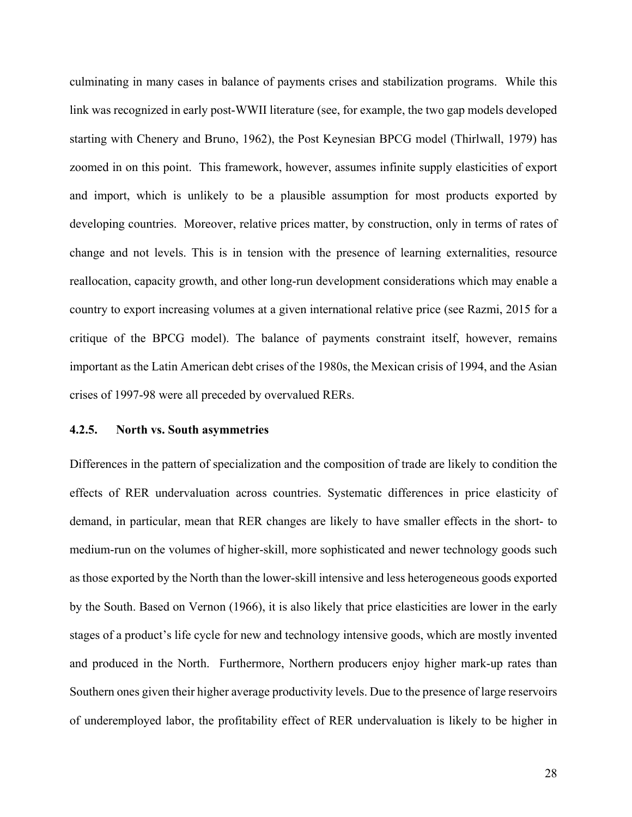culminating in many cases in balance of payments crises and stabilization programs. While this link was recognized in early post-WWII literature (see, for example, the two gap models developed starting with Chenery and Bruno, 1962), the Post Keynesian BPCG model (Thirlwall, 1979) has zoomed in on this point. This framework, however, assumes infinite supply elasticities of export and import, which is unlikely to be a plausible assumption for most products exported by developing countries. Moreover, relative prices matter, by construction, only in terms of rates of change and not levels. This is in tension with the presence of learning externalities, resource reallocation, capacity growth, and other long-run development considerations which may enable a country to export increasing volumes at a given international relative price (see Razmi, 2015 for a critique of the BPCG model). The balance of payments constraint itself, however, remains important as the Latin American debt crises of the 1980s, the Mexican crisis of 1994, and the Asian crises of 1997-98 were all preceded by overvalued RERs.

## **4.2.5. North vs. South asymmetries**

Differences in the pattern of specialization and the composition of trade are likely to condition the effects of RER undervaluation across countries. Systematic differences in price elasticity of demand, in particular, mean that RER changes are likely to have smaller effects in the short- to medium-run on the volumes of higher-skill, more sophisticated and newer technology goods such as those exported by the North than the lower-skill intensive and less heterogeneous goods exported by the South. Based on Vernon (1966), it is also likely that price elasticities are lower in the early stages of a product's life cycle for new and technology intensive goods, which are mostly invented and produced in the North. Furthermore, Northern producers enjoy higher mark-up rates than Southern ones given their higher average productivity levels. Due to the presence of large reservoirs of underemployed labor, the profitability effect of RER undervaluation is likely to be higher in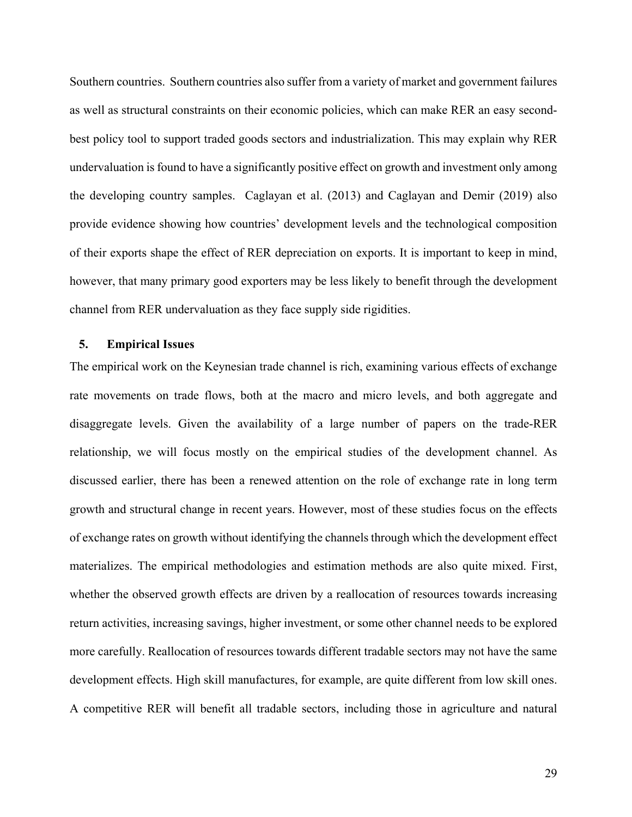Southern countries. Southern countries also suffer from a variety of market and government failures as well as structural constraints on their economic policies, which can make RER an easy secondbest policy tool to support traded goods sectors and industrialization. This may explain why RER undervaluation is found to have a significantly positive effect on growth and investment only among the developing country samples. Caglayan et al. (2013) and Caglayan and Demir (2019) also provide evidence showing how countries' development levels and the technological composition of their exports shape the effect of RER depreciation on exports. It is important to keep in mind, however, that many primary good exporters may be less likely to benefit through the development channel from RER undervaluation as they face supply side rigidities.

## **5. Empirical Issues**

The empirical work on the Keynesian trade channel is rich, examining various effects of exchange rate movements on trade flows, both at the macro and micro levels, and both aggregate and disaggregate levels. Given the availability of a large number of papers on the trade-RER relationship, we will focus mostly on the empirical studies of the development channel. As discussed earlier, there has been a renewed attention on the role of exchange rate in long term growth and structural change in recent years. However, most of these studies focus on the effects of exchange rates on growth without identifying the channels through which the development effect materializes. The empirical methodologies and estimation methods are also quite mixed. First, whether the observed growth effects are driven by a reallocation of resources towards increasing return activities, increasing savings, higher investment, or some other channel needs to be explored more carefully. Reallocation of resources towards different tradable sectors may not have the same development effects. High skill manufactures, for example, are quite different from low skill ones. A competitive RER will benefit all tradable sectors, including those in agriculture and natural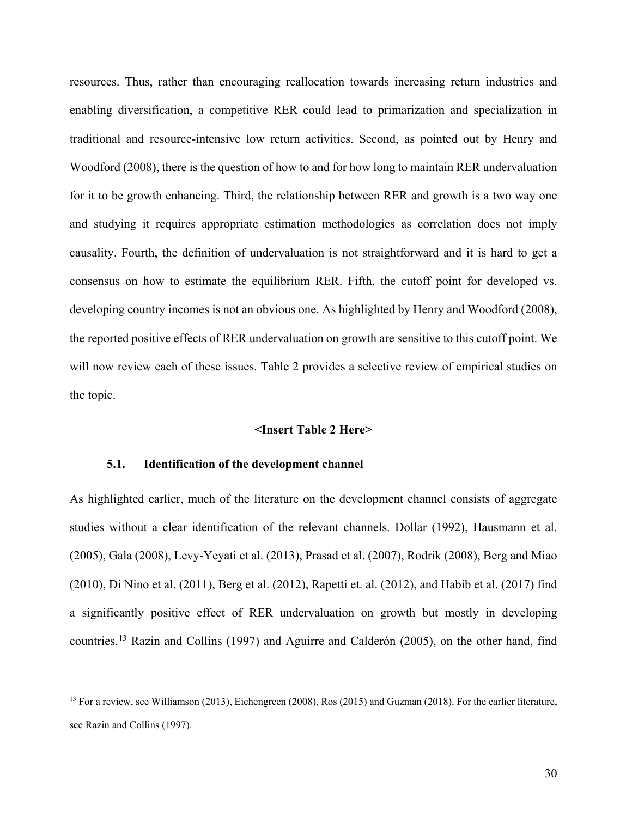resources. Thus, rather than encouraging reallocation towards increasing return industries and enabling diversification, a competitive RER could lead to primarization and specialization in traditional and resource-intensive low return activities. Second, as pointed out by Henry and Woodford (2008), there is the question of how to and for how long to maintain RER undervaluation for it to be growth enhancing. Third, the relationship between RER and growth is a two way one and studying it requires appropriate estimation methodologies as correlation does not imply causality. Fourth, the definition of undervaluation is not straightforward and it is hard to get a consensus on how to estimate the equilibrium RER. Fifth, the cutoff point for developed vs. developing country incomes is not an obvious one. As highlighted by Henry and Woodford (2008), the reported positive effects of RER undervaluation on growth are sensitive to this cutoff point. We will now review each of these issues. Table 2 provides a selective review of empirical studies on the topic.

#### **<Insert Table 2 Here>**

## **5.1. Identification of the development channel**

As highlighted earlier, much of the literature on the development channel consists of aggregate studies without a clear identification of the relevant channels. Dollar (1992), Hausmann et al. (2005), Gala (2008), Levy-Yeyati et al. (2013), Prasad et al. (2007), Rodrik (2008), Berg and Miao (2010), Di Nino et al. (2011), Berg et al. (2012), Rapetti et. al. (2012), and Habib et al. (2017) find a significantly positive effect of RER undervaluation on growth but mostly in developing countries.[13](#page-31-0) Razin and Collins (1997) and Aguirre and Calderón (2005), on the other hand, find

<span id="page-31-0"></span><sup>&</sup>lt;sup>13</sup> For a review, see Williamson (2013), Eichengreen (2008), Ros (2015) and Guzman (2018). For the earlier literature, see Razin and Collins (1997).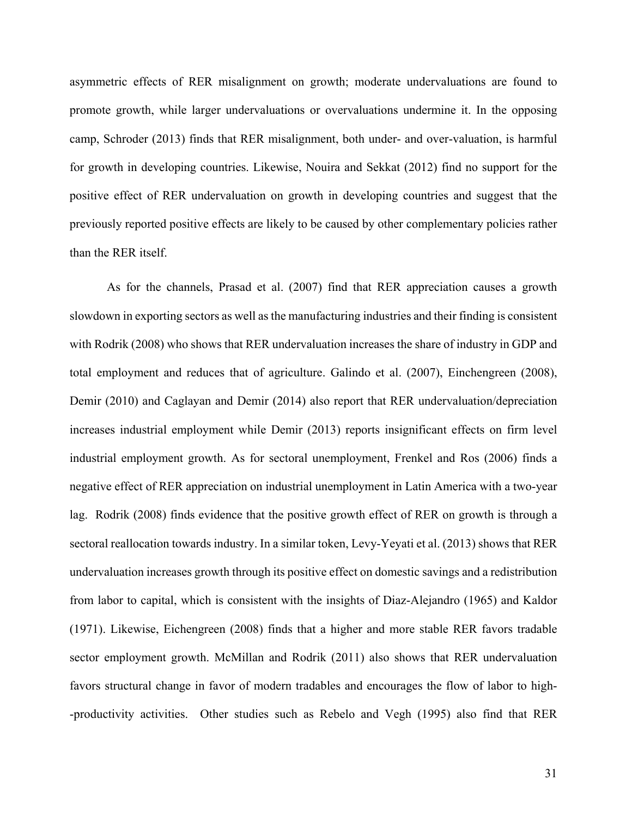asymmetric effects of RER misalignment on growth; moderate undervaluations are found to promote growth, while larger undervaluations or overvaluations undermine it. In the opposing camp, Schroder (2013) finds that RER misalignment, both under- and over-valuation, is harmful for growth in developing countries. Likewise, Nouira and Sekkat (2012) find no support for the positive effect of RER undervaluation on growth in developing countries and suggest that the previously reported positive effects are likely to be caused by other complementary policies rather than the RER itself.

As for the channels, Prasad et al. (2007) find that RER appreciation causes a growth slowdown in exporting sectors as well as the manufacturing industries and their finding is consistent with Rodrik (2008) who shows that RER undervaluation increases the share of industry in GDP and total employment and reduces that of agriculture. Galindo et al. (2007), Einchengreen (2008), Demir (2010) and Caglayan and Demir (2014) also report that RER undervaluation/depreciation increases industrial employment while Demir (2013) reports insignificant effects on firm level industrial employment growth. As for sectoral unemployment, Frenkel and Ros (2006) finds a negative effect of RER appreciation on industrial unemployment in Latin America with a two-year lag. Rodrik (2008) finds evidence that the positive growth effect of RER on growth is through a sectoral reallocation towards industry. In a similar token, Levy-Yeyati et al. (2013) shows that RER undervaluation increases growth through its positive effect on domestic savings and a redistribution from labor to capital, which is consistent with the insights of Diaz-Alejandro (1965) and Kaldor (1971). Likewise, Eichengreen (2008) finds that a higher and more stable RER favors tradable sector employment growth. McMillan and Rodrik (2011) also shows that RER undervaluation favors structural change in favor of modern tradables and encourages the flow of labor to high- -productivity activities. Other studies such as Rebelo and Vegh (1995) also find that RER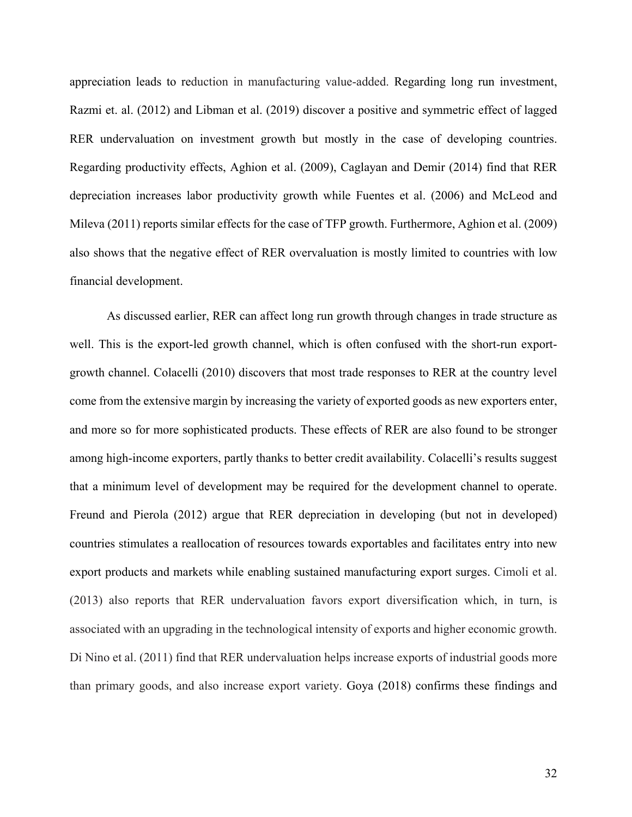appreciation leads to reduction in manufacturing value-added. Regarding long run investment, Razmi et. al. (2012) and Libman et al. (2019) discover a positive and symmetric effect of lagged RER undervaluation on investment growth but mostly in the case of developing countries. Regarding productivity effects, Aghion et al. (2009), Caglayan and Demir (2014) find that RER depreciation increases labor productivity growth while Fuentes et al. (2006) and McLeod and Mileva (2011) reports similar effects for the case of TFP growth. Furthermore, Aghion et al. (2009) also shows that the negative effect of RER overvaluation is mostly limited to countries with low financial development.

As discussed earlier, RER can affect long run growth through changes in trade structure as well. This is the export-led growth channel, which is often confused with the short-run exportgrowth channel. Colacelli (2010) discovers that most trade responses to RER at the country level come from the extensive margin by increasing the variety of exported goods as new exporters enter, and more so for more sophisticated products. These effects of RER are also found to be stronger among high-income exporters, partly thanks to better credit availability. Colacelli's results suggest that a minimum level of development may be required for the development channel to operate. Freund and Pierola (2012) argue that RER depreciation in developing (but not in developed) countries stimulates a reallocation of resources towards exportables and facilitates entry into new export products and markets while enabling sustained manufacturing export surges. Cimoli et al. (2013) also reports that RER undervaluation favors export diversification which, in turn, is associated with an upgrading in the technological intensity of exports and higher economic growth. Di Nino et al. (2011) find that RER undervaluation helps increase exports of industrial goods more than primary goods, and also increase export variety. Goya (2018) confirms these findings and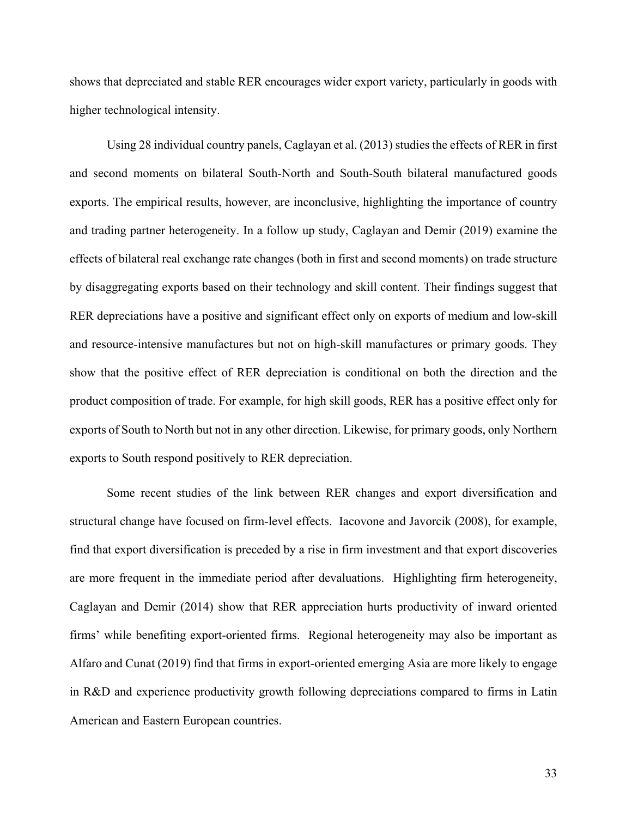shows that depreciated and stable RER encourages wider export variety, particularly in goods with higher technological intensity.

Using 28 individual country panels, Caglayan et al. (2013) studies the effects of RER in first and second moments on bilateral South-North and South-South bilateral manufactured goods exports. The empirical results, however, are inconclusive, highlighting the importance of country and trading partner heterogeneity. In a follow up study, Caglayan and Demir (2019) examine the effects of bilateral real exchange rate changes (both in first and second moments) on trade structure by disaggregating exports based on their technology and skill content. Their findings suggest that RER depreciations have a positive and significant effect only on exports of medium and low-skill and resource-intensive manufactures but not on high-skill manufactures or primary goods. They show that the positive effect of RER depreciation is conditional on both the direction and the product composition of trade. For example, for high skill goods, RER has a positive effect only for exports of South to North but not in any other direction. Likewise, for primary goods, only Northern exports to South respond positively to RER depreciation.

Some recent studies of the link between RER changes and export diversification and structural change have focused on firm-level effects. Iacovone and Javorcik (2008), for example, find that export diversification is preceded by a rise in firm investment and that export discoveries are more frequent in the immediate period after devaluations. Highlighting firm heterogeneity, Caglayan and Demir (2014) show that RER appreciation hurts productivity of inward oriented firms' while benefiting export-oriented firms. Regional heterogeneity may also be important as Alfaro and Cunat (2019) find that firms in export-oriented emerging Asia are more likely to engage in R&D and experience productivity growth following depreciations compared to firms in Latin American and Eastern European countries.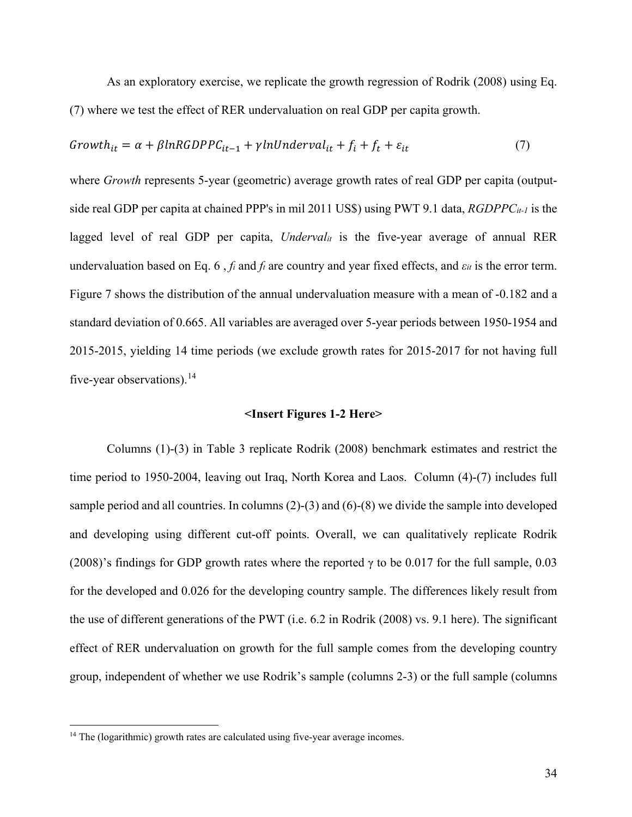As an exploratory exercise, we replicate the growth regression of Rodrik (2008) using Eq. (7) where we test the effect of RER undervaluation on real GDP per capita growth.

$$
Growth_{it} = \alpha + \beta lnRGDPPC_{it-1} + \gamma lnUnderval_{it} + f_i + f_t + \varepsilon_{it}
$$
\n
$$
\tag{7}
$$

where *Growth* represents 5-year (geometric) average growth rates of real GDP per capita (outputside real GDP per capita at chained PPP's in mil 2011 US\$) using PWT 9.1 data, *RGDPPCit-1* is the lagged level of real GDP per capita, *Underval<sub>it</sub>* is the five-year average of annual RER undervaluation based on Eq. 6,  $f_i$  and  $f_t$  are country and year fixed effects, and  $\varepsilon_{it}$  is the error term. Figure 7 shows the distribution of the annual undervaluation measure with a mean of -0.182 and a standard deviation of 0.665. All variables are averaged over 5-year periods between 1950-1954 and 2015-2015, yielding 14 time periods (we exclude growth rates for 2015-2017 for not having full five-year observations).  $^{14}$  $^{14}$  $^{14}$ 

## **<Insert Figures 1-2 Here>**

Columns (1)-(3) in Table 3 replicate Rodrik (2008) benchmark estimates and restrict the time period to 1950-2004, leaving out Iraq, North Korea and Laos. Column (4)-(7) includes full sample period and all countries. In columns (2)-(3) and (6)-(8) we divide the sample into developed and developing using different cut-off points. Overall, we can qualitatively replicate Rodrik (2008)'s findings for GDP growth rates where the reported  $\gamma$  to be 0.017 for the full sample, 0.03 for the developed and 0.026 for the developing country sample. The differences likely result from the use of different generations of the PWT (i.e. 6.2 in Rodrik (2008) vs. 9.1 here). The significant effect of RER undervaluation on growth for the full sample comes from the developing country group, independent of whether we use Rodrik's sample (columns 2-3) or the full sample (columns

<span id="page-35-0"></span><sup>&</sup>lt;sup>14</sup> The (logarithmic) growth rates are calculated using five-year average incomes.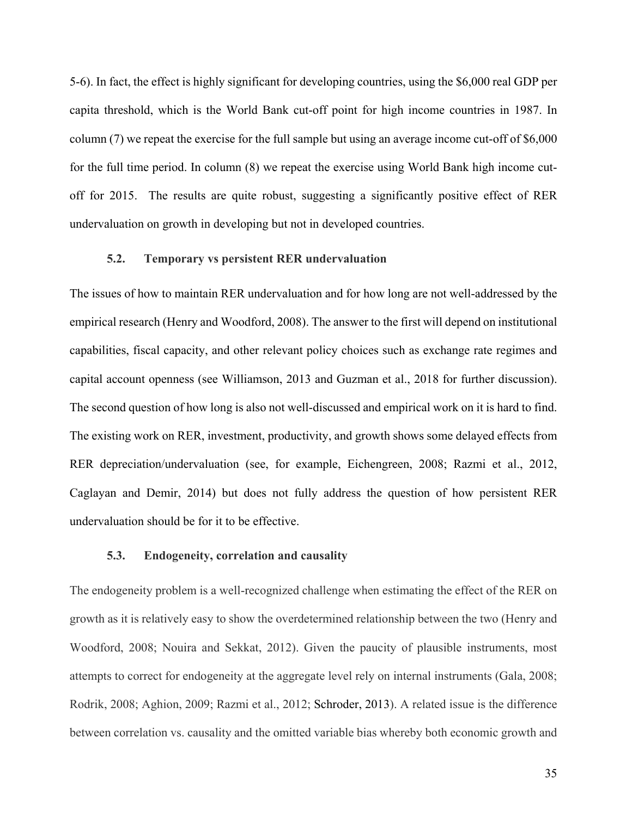5-6). In fact, the effect is highly significant for developing countries, using the \$6,000 real GDP per capita threshold, which is the World Bank cut-off point for high income countries in 1987. In column (7) we repeat the exercise for the full sample but using an average income cut-off of \$6,000 for the full time period. In column (8) we repeat the exercise using World Bank high income cutoff for 2015. The results are quite robust, suggesting a significantly positive effect of RER undervaluation on growth in developing but not in developed countries.

## **5.2. Temporary vs persistent RER undervaluation**

The issues of how to maintain RER undervaluation and for how long are not well-addressed by the empirical research (Henry and Woodford, 2008). The answer to the first will depend on institutional capabilities, fiscal capacity, and other relevant policy choices such as exchange rate regimes and capital account openness (see Williamson, 2013 and Guzman et al., 2018 for further discussion). The second question of how long is also not well-discussed and empirical work on it is hard to find. The existing work on RER, investment, productivity, and growth shows some delayed effects from RER depreciation/undervaluation (see, for example, Eichengreen, 2008; Razmi et al., 2012, Caglayan and Demir, 2014) but does not fully address the question of how persistent RER undervaluation should be for it to be effective.

## **5.3. Endogeneity, correlation and causality**

The endogeneity problem is a well-recognized challenge when estimating the effect of the RER on growth as it is relatively easy to show the overdetermined relationship between the two (Henry and Woodford, 2008; Nouira and Sekkat, 2012). Given the paucity of plausible instruments, most attempts to correct for endogeneity at the aggregate level rely on internal instruments (Gala, 2008; Rodrik, 2008; Aghion, 2009; Razmi et al., 2012; Schroder, 2013). A related issue is the difference between correlation vs. causality and the omitted variable bias whereby both economic growth and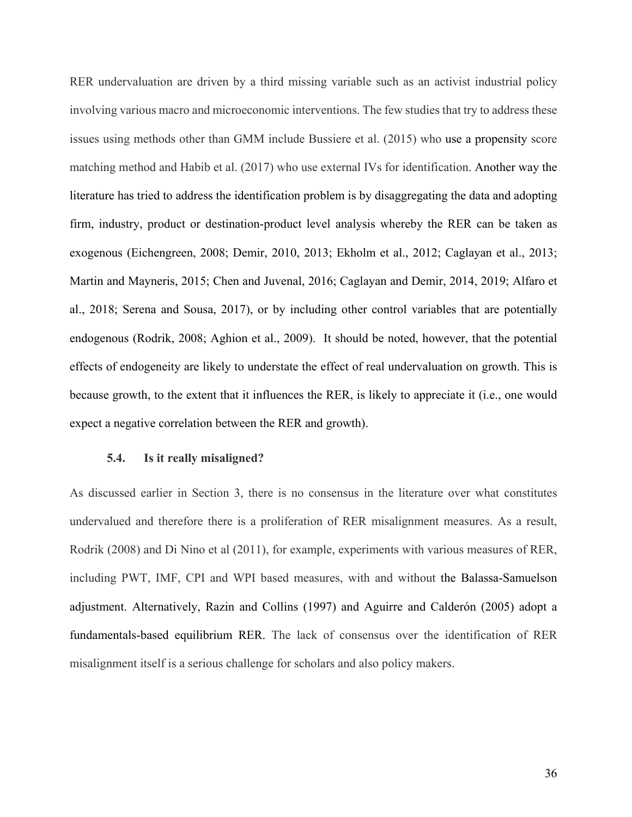RER undervaluation are driven by a third missing variable such as an activist industrial policy involving various macro and microeconomic interventions. The few studies that try to address these issues using methods other than GMM include Bussiere et al. (2015) who use a propensity score matching method and Habib et al. (2017) who use external IVs for identification. Another way the literature has tried to address the identification problem is by disaggregating the data and adopting firm, industry, product or destination-product level analysis whereby the RER can be taken as exogenous (Eichengreen, 2008; Demir, 2010, 2013; Ekholm et al., 2012; Caglayan et al., 2013; Martin and Mayneris, 2015; Chen and Juvenal, 2016; Caglayan and Demir, 2014, 2019; Alfaro et al., 2018; Serena and Sousa, 2017), or by including other control variables that are potentially endogenous (Rodrik, 2008; Aghion et al., 2009). It should be noted, however, that the potential effects of endogeneity are likely to understate the effect of real undervaluation on growth. This is because growth, to the extent that it influences the RER, is likely to appreciate it (i.e., one would expect a negative correlation between the RER and growth).

#### **5.4. Is it really misaligned?**

As discussed earlier in Section 3, there is no consensus in the literature over what constitutes undervalued and therefore there is a proliferation of RER misalignment measures. As a result, Rodrik (2008) and Di Nino et al (2011), for example, experiments with various measures of RER, including PWT, IMF, CPI and WPI based measures, with and without the Balassa-Samuelson adjustment. Alternatively, Razin and Collins (1997) and Aguirre and Calderón (2005) adopt a fundamentals-based equilibrium RER. The lack of consensus over the identification of RER misalignment itself is a serious challenge for scholars and also policy makers.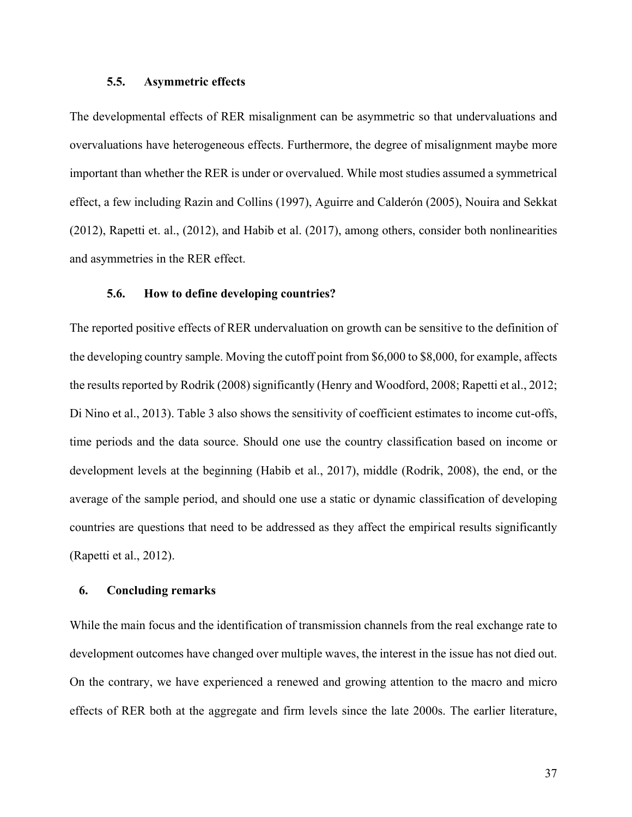## **5.5. Asymmetric effects**

The developmental effects of RER misalignment can be asymmetric so that undervaluations and overvaluations have heterogeneous effects. Furthermore, the degree of misalignment maybe more important than whether the RER is under or overvalued. While most studies assumed a symmetrical effect, a few including Razin and Collins (1997), Aguirre and Calderón (2005), Nouira and Sekkat (2012), Rapetti et. al., (2012), and Habib et al. (2017), among others, consider both nonlinearities and asymmetries in the RER effect.

## **5.6. How to define developing countries?**

The reported positive effects of RER undervaluation on growth can be sensitive to the definition of the developing country sample. Moving the cutoff point from \$6,000 to \$8,000, for example, affects the results reported by Rodrik (2008) significantly (Henry and Woodford, 2008; Rapetti et al., 2012; Di Nino et al., 2013). Table 3 also shows the sensitivity of coefficient estimates to income cut-offs, time periods and the data source. Should one use the country classification based on income or development levels at the beginning (Habib et al., 2017), middle (Rodrik, 2008), the end, or the average of the sample period, and should one use a static or dynamic classification of developing countries are questions that need to be addressed as they affect the empirical results significantly (Rapetti et al., 2012).

## **6. Concluding remarks**

While the main focus and the identification of transmission channels from the real exchange rate to development outcomes have changed over multiple waves, the interest in the issue has not died out. On the contrary, we have experienced a renewed and growing attention to the macro and micro effects of RER both at the aggregate and firm levels since the late 2000s. The earlier literature,

37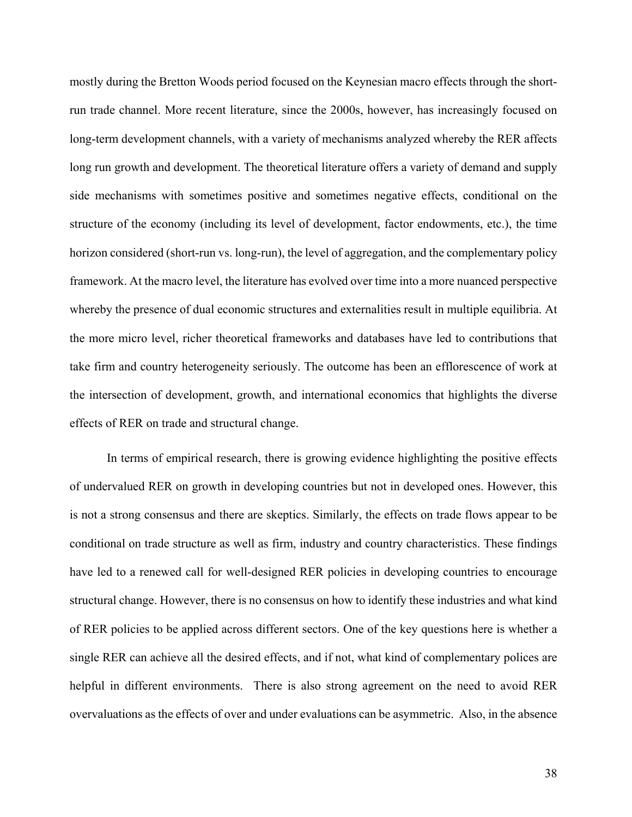mostly during the Bretton Woods period focused on the Keynesian macro effects through the shortrun trade channel. More recent literature, since the 2000s, however, has increasingly focused on long-term development channels, with a variety of mechanisms analyzed whereby the RER affects long run growth and development. The theoretical literature offers a variety of demand and supply side mechanisms with sometimes positive and sometimes negative effects, conditional on the structure of the economy (including its level of development, factor endowments, etc.), the time horizon considered (short-run vs. long-run), the level of aggregation, and the complementary policy framework. At the macro level, the literature has evolved over time into a more nuanced perspective whereby the presence of dual economic structures and externalities result in multiple equilibria. At the more micro level, richer theoretical frameworks and databases have led to contributions that take firm and country heterogeneity seriously. The outcome has been an efflorescence of work at the intersection of development, growth, and international economics that highlights the diverse effects of RER on trade and structural change.

In terms of empirical research, there is growing evidence highlighting the positive effects of undervalued RER on growth in developing countries but not in developed ones. However, this is not a strong consensus and there are skeptics. Similarly, the effects on trade flows appear to be conditional on trade structure as well as firm, industry and country characteristics. These findings have led to a renewed call for well-designed RER policies in developing countries to encourage structural change. However, there is no consensus on how to identify these industries and what kind of RER policies to be applied across different sectors. One of the key questions here is whether a single RER can achieve all the desired effects, and if not, what kind of complementary polices are helpful in different environments. There is also strong agreement on the need to avoid RER overvaluations as the effects of over and under evaluations can be asymmetric. Also, in the absence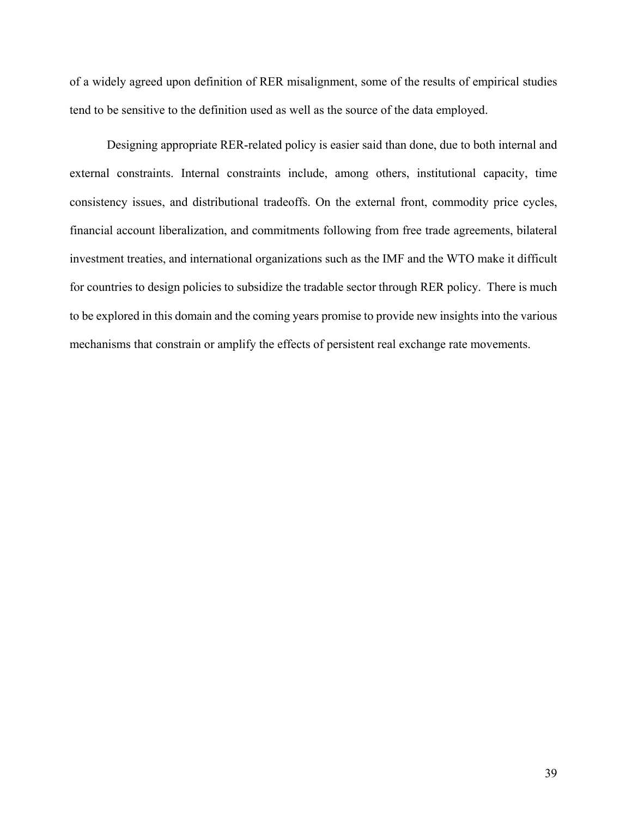of a widely agreed upon definition of RER misalignment, some of the results of empirical studies tend to be sensitive to the definition used as well as the source of the data employed.

Designing appropriate RER-related policy is easier said than done, due to both internal and external constraints. Internal constraints include, among others, institutional capacity, time consistency issues, and distributional tradeoffs. On the external front, commodity price cycles, financial account liberalization, and commitments following from free trade agreements, bilateral investment treaties, and international organizations such as the IMF and the WTO make it difficult for countries to design policies to subsidize the tradable sector through RER policy. There is much to be explored in this domain and the coming years promise to provide new insights into the various mechanisms that constrain or amplify the effects of persistent real exchange rate movements.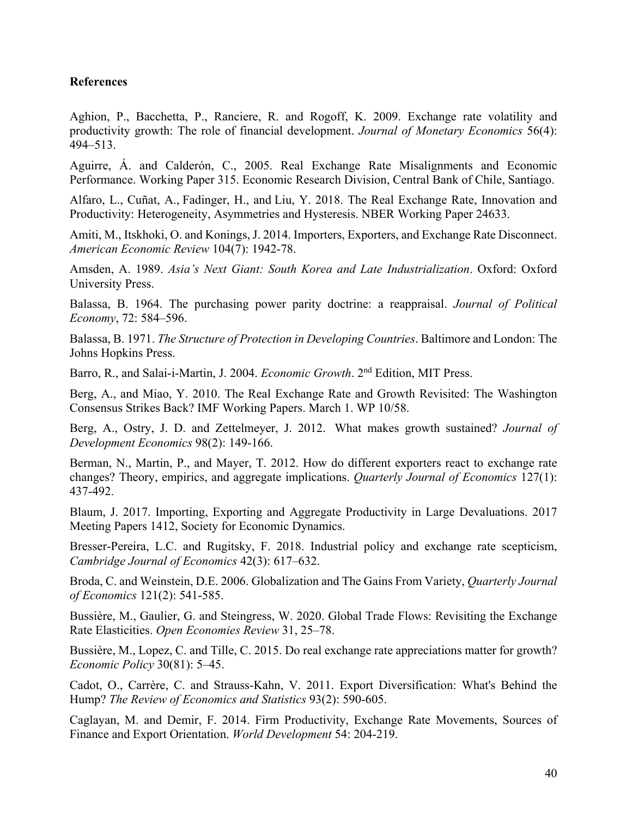## **References**

Aghion, P., Bacchetta, P., Ranciere, R. and Rogoff, K. 2009. Exchange rate volatility and productivity growth: The role of financial development. *Journal of Monetary Economics* 56(4): 494–513.

Aguirre, Á. and Calderón, C., 2005. Real Exchange Rate Misalignments and Economic Performance. Working Paper 315. Economic Research Division, Central Bank of Chile, Santiago.

Alfaro, L., Cuñat, A., Fadinger, H., and Liu, Y. 2018. The Real Exchange Rate, Innovation and Productivity: Heterogeneity, Asymmetries and Hysteresis. NBER Working Paper 24633.

Amiti, M., Itskhoki, O. and Konings, J. 2014. Importers, Exporters, and Exchange Rate Disconnect. *American Economic Review* 104(7): 1942-78.

Amsden, A. 1989. *Asia's Next Giant: South Korea and Late Industrialization*. Oxford: Oxford University Press.

Balassa, B. 1964. The purchasing power parity doctrine: a reappraisal. *Journal of Political Economy*, 72: 584–596.

Balassa, B. 1971. *The Structure of Protection in Developing Countries*. Baltimore and London: The Johns Hopkins Press.

Barro, R., and Salai-i-Martin, J. 2004. *Economic Growth*. 2nd Edition, MIT Press.

Berg, A., and Miao, Y. 2010. The Real Exchange Rate and Growth Revisited: The Washington Consensus Strikes Back? IMF Working Papers. March 1. WP 10/58.

Berg, A., Ostry, J. D. and Zettelmeyer, J. 2012. What makes growth sustained? *Journal of Development Economics* 98(2): 149-166.

Berman, N., Martin, P., and Mayer, T. 2012. How do different exporters react to exchange rate changes? Theory, empirics, and aggregate implications. *Quarterly Journal of Economics* 127(1): 437-492.

Blaum, J. 2017. Importing, Exporting and Aggregate Productivity in Large Devaluations. 2017 Meeting Papers 1412, Society for Economic Dynamics.

Bresser-Pereira, L.C. and Rugitsky, F. 2018. Industrial policy and exchange rate scepticism, *Cambridge Journal of Economics* 42(3): 617–632.

Broda, C. and Weinstein, D.E. 2006. Globalization and The Gains From Variety, *Quarterly Journal of Economics* 121(2): 541-585.

Bussière, M., Gaulier, G. and Steingress, W. 2020. Global Trade Flows: Revisiting the Exchange Rate Elasticities. *Open Economies Review* 31, 25–78.

Bussière, M., Lopez, C. and Tille, C. 2015. Do real exchange rate appreciations matter for growth? *Economic Policy* 30(81): 5–45.

Cadot, O., Carrère, C. and Strauss-Kahn, V. 2011. Export Diversification: What's Behind the Hump? *The Review of Economics and Statistics* 93(2): 590-605.

Caglayan, M. and Demir, F. 2014. Firm Productivity, Exchange Rate Movements, Sources of Finance and Export Orientation. *World Development* 54: 204-219.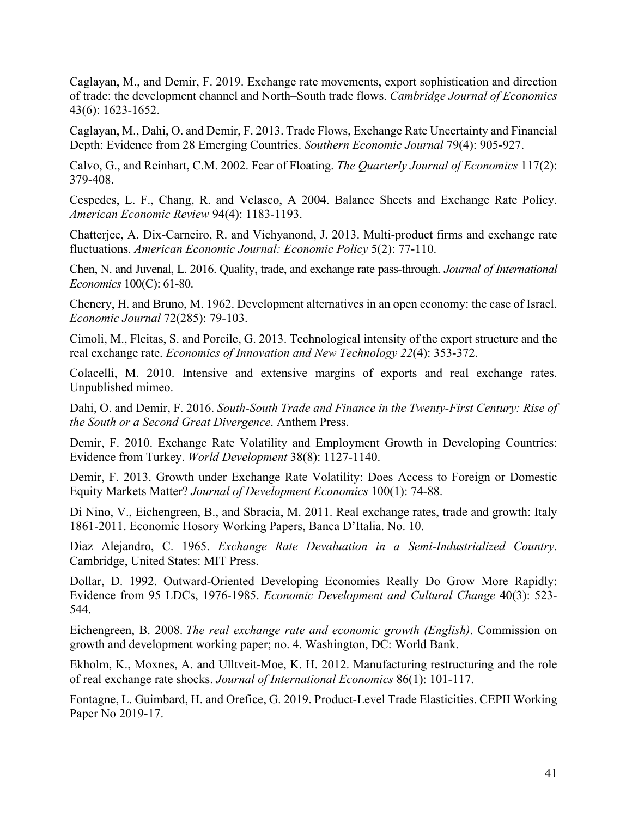Caglayan, M., and Demir, F. 2019. Exchange rate movements, export sophistication and direction of trade: the development channel and North–South trade flows. *Cambridge Journal of Economics* 43(6): 1623-1652.

Caglayan, M., Dahi, O. and Demir, F. 2013. Trade Flows, Exchange Rate Uncertainty and Financial Depth: Evidence from 28 Emerging Countries. *Southern Economic Journal* 79(4): 905-927.

Calvo, G., and Reinhart, C.M. 2002. Fear of Floating. *The Quarterly Journal of Economics* 117(2): 379-408.

Cespedes, L. F., Chang, R. and Velasco, A 2004. Balance Sheets and Exchange Rate Policy. *American Economic Review* 94(4): 1183-1193.

Chatterjee, A. Dix-Carneiro, R. and Vichyanond, J. 2013. Multi-product firms and exchange rate fluctuations. *American Economic Journal: Economic Policy* 5(2): 77-110.

Chen, N. and Juvenal, L. 2016. Quality, trade, and exchange rate pass-through. *Journal of International Economics* 100(C): 61-80.

Chenery, H. and Bruno, M. 1962. Development alternatives in an open economy: the case of Israel. *Economic Journal* 72(285): 79-103.

Cimoli, M., Fleitas, S. and Porcile, G. 2013. Technological intensity of the export structure and the real exchange rate. *Economics of Innovation and New Technology 22*(4): 353-372.

Colacelli, M. 2010. Intensive and extensive margins of exports and real exchange rates. Unpublished mimeo.

Dahi, O. and Demir, F. 2016. *South-South Trade and Finance in the Twenty-First Century: Rise of the South or a Second Great Divergence*. Anthem Press.

Demir, F. 2010. Exchange Rate Volatility and Employment Growth in Developing Countries: Evidence from Turkey. *World Development* 38(8): 1127-1140.

Demir, F. 2013. Growth under Exchange Rate Volatility: Does Access to Foreign or Domestic Equity Markets Matter? *Journal of Development Economics* 100(1): 74-88.

Di Nino, V., Eichengreen, B., and Sbracia, M. 2011. Real exchange rates, trade and growth: Italy 1861-2011. Economic Hosory Working Papers, Banca D'Italia. No. 10.

Diaz Alejandro, C. 1965. *Exchange Rate Devaluation in a Semi-Industrialized Country*. Cambridge, United States: MIT Press.

Dollar, D. 1992. Outward-Oriented Developing Economies Really Do Grow More Rapidly: Evidence from 95 LDCs, 1976-1985. *Economic Development and Cultural Change* 40(3): 523- 544.

Eichengreen, B. 2008. *The real exchange rate and economic growth (English)*. Commission on growth and development working paper; no. 4. Washington, DC: World Bank.

Ekholm, K., Moxnes, A. and Ulltveit-Moe, K. H. 2012. Manufacturing restructuring and the role of real exchange rate shocks. *Journal of International Economics* 86(1): 101-117.

Fontagne, L. Guimbard, H. and Orefice, G. 2019. Product-Level Trade Elasticities. CEPII Working Paper No 2019-17.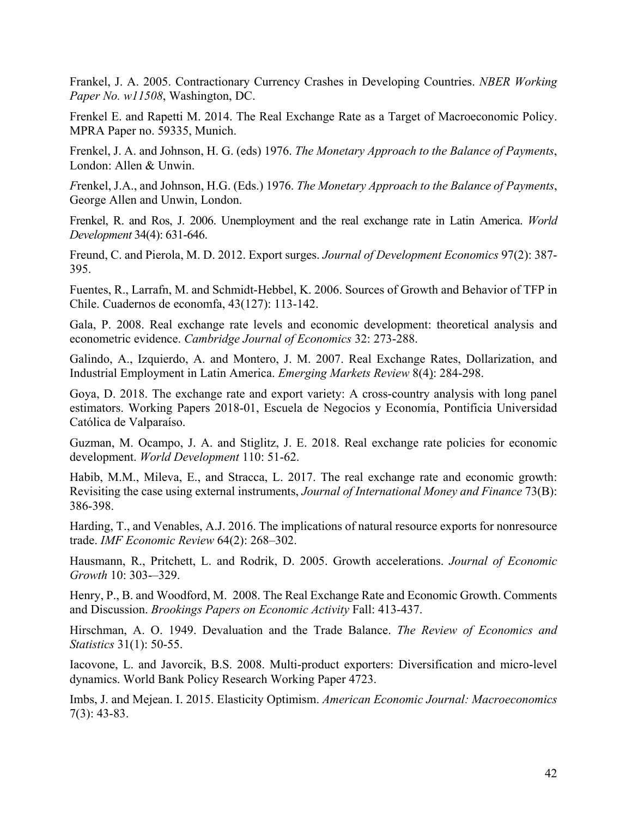Frankel, J. A. 2005. Contractionary Currency Crashes in Developing Countries. *NBER Working Paper No. w11508*, Washington, DC.

Frenkel E. and Rapetti M. 2014. The Real Exchange Rate as a Target of Macroeconomic Policy. MPRA Paper no. 59335, Munich.

Frenkel, J. A. and Johnson, H. G. (eds) 1976. *The Monetary Approach to the Balance of Payments*, London: Allen & Unwin.

*F*renkel, J.A., and Johnson, H.G. (Eds.) 1976. *The Monetary Approach to the Balance of Payments*, George Allen and Unwin, London.

Frenkel, R. and Ros, J. 2006. Unemployment and the real exchange rate in Latin America. *World Development* 34(4): 631-646.

Freund, C. and Pierola, M. D. 2012. Export surges. *Journal of Development Economics* 97(2): 387- 395.

Fuentes, R., Larrafn, M. and Schmidt-Hebbel, K. 2006. Sources of Growth and Behavior of TFP in Chile. Cuadernos de economfa, 43(127): 113-142.

Gala, P. 2008. Real exchange rate levels and economic development: theoretical analysis and econometric evidence. *Cambridge Journal of Economics* 32: 273-288.

Galindo, A., Izquierdo, A. and Montero, J. M. 2007. Real Exchange Rates, Dollarization, and Industrial Employment in Latin America. *Emerging Markets Review* 8(4): 284-298.

Goya, D. 2018. The exchange rate and export variety: A cross-country analysis with long panel estimators. Working Papers 2018-01, Escuela de Negocios y Economía, Pontificia Universidad Católica de Valparaíso.

Guzman, M. Ocampo, J. A. and Stiglitz, J. E. 2018. Real exchange rate policies for economic development. *World Development* 110: 51-62.

Habib, M.M., Mileva, E., and Stracca, L. 2017. The real exchange rate and economic growth: Revisiting the case using external instruments, *Journal of International Money and Finance* 73(B): 386-398.

Harding, T., and Venables, A.J. 2016. The implications of natural resource exports for nonresource trade. *IMF Economic Review* 64(2): 268–302.

Hausmann, R., Pritchett, L. and Rodrik, D. 2005. Growth accelerations. *Journal of Economic Growth* 10: 303-–329.

Henry, P., B. and Woodford, M. 2008. The Real Exchange Rate and Economic Growth. Comments and Discussion. *Brookings Papers on Economic Activity* Fall: 413-437.

Hirschman, A. O. 1949. Devaluation and the Trade Balance. *The Review of Economics and Statistics* 31(1): 50-55.

Iacovone, L. and Javorcik, B.S. 2008. Multi-product exporters: Diversification and micro-level dynamics. World Bank Policy Research Working Paper 4723.

Imbs, J. and Mejean. I. 2015. Elasticity Optimism. *American Economic Journal: Macroeconomics* 7(3): 43-83.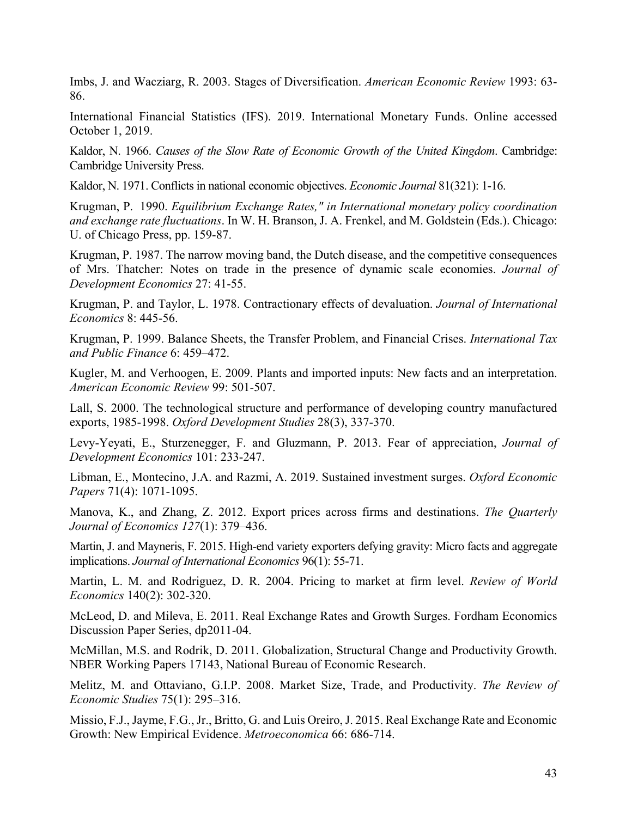Imbs, J. and Wacziarg, R. 2003. Stages of Diversification. *American Economic Review* 1993: 63- 86.

International Financial Statistics (IFS). 2019. International Monetary Funds. Online accessed October 1, 2019.

Kaldor, N. 1966. *Causes of the Slow Rate of Economic Growth of the United Kingdom*. Cambridge: Cambridge University Press.

Kaldor, N. 1971. Conflicts in national economic objectives. *Economic Journal* 81(321): 1-16.

Krugman, P. 1990. *Equilibrium Exchange Rates," in International monetary policy coordination and exchange rate fluctuations*. In W. H. Branson, J. A. Frenkel, and M. Goldstein (Eds.). Chicago: U. of Chicago Press, pp. 159-87.

Krugman, P. 1987. The narrow moving band, the Dutch disease, and the competitive consequences of Mrs. Thatcher: Notes on trade in the presence of dynamic scale economies. *Journal of Development Economics* 27: 41-55.

Krugman, P. and Taylor, L. 1978. Contractionary effects of devaluation. *Journal of International Economics* 8: 445-56.

Krugman, P. 1999. Balance Sheets, the Transfer Problem, and Financial Crises. *International Tax and Public Finance* 6: 459–472.

Kugler, M. and Verhoogen, E. 2009. Plants and imported inputs: New facts and an interpretation. *American Economic Review* 99: 501‐507.

Lall, S. 2000. The technological structure and performance of developing country manufactured exports, 1985-1998. *Oxford Development Studies* 28(3), 337-370.

Levy-Yeyati, E., Sturzenegger, F. and Gluzmann, P. 2013. Fear of appreciation, *Journal of Development Economics* 101: 233-247.

Libman, E., Montecino, J.A. and Razmi, A. 2019. Sustained investment surges. *Oxford Economic Papers* 71(4): 1071-1095.

Manova, K., and Zhang, Z. 2012. Export prices across firms and destinations. *The Quarterly Journal of Economics 127*(1): 379–436.

Martin, J. and Mayneris, F. 2015. High-end variety exporters defying gravity: Micro facts and aggregate implications. *Journal of International Economics* 96(1): 55-71.

Martin, L. M. and Rodriguez, D. R. 2004. Pricing to market at firm level. *Review of World Economics* 140(2): 302-320.

McLeod, D. and Mileva, E. 2011. Real Exchange Rates and Growth Surges. Fordham Economics Discussion Paper Series, dp2011-04.

McMillan, M.S. and Rodrik, D. 2011. Globalization, Structural Change and Productivity Growth. NBER Working Papers 17143, National Bureau of Economic Research.

Melitz, M. and Ottaviano, G.I.P. 2008. Market Size, Trade, and Productivity. *The Review of Economic Studies* 75(1): 295–316.

Missio, F.J., Jayme, F.G., Jr., Britto, G. and Luis Oreiro, J. 2015. Real Exchange Rate and Economic Growth: New Empirical Evidence. *Metroeconomica* 66: 686-714.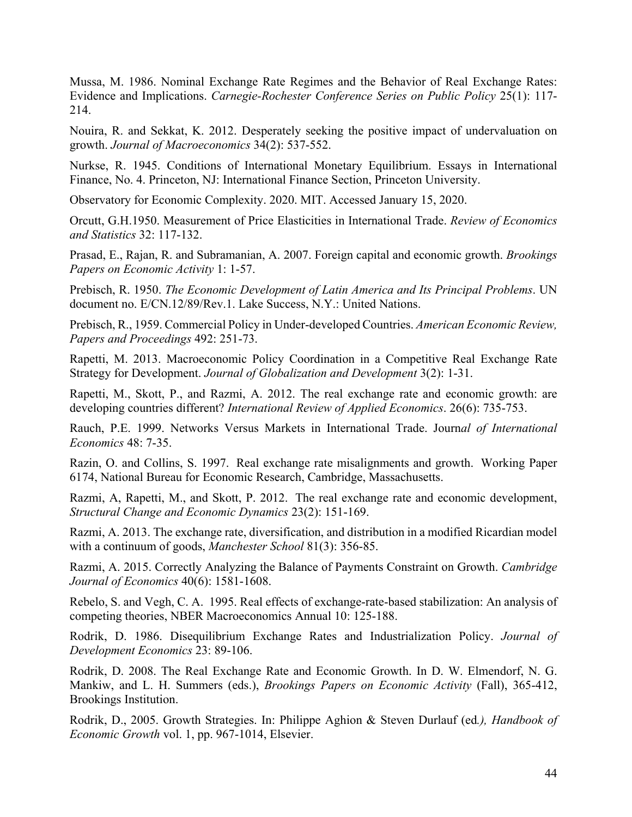Mussa, M. 1986. Nominal Exchange Rate Regimes and the Behavior of Real Exchange Rates: Evidence and Implications. *Carnegie-Rochester Conference Series on Public Policy* 25(1): 117- 214.

Nouira, R. and Sekkat, K. 2012. Desperately seeking the positive impact of undervaluation on growth. *Journal of Macroeconomics* 34(2): 537-552.

Nurkse, R. 1945. Conditions of International Monetary Equilibrium. Essays in International Finance, No. 4. Princeton, NJ: International Finance Section, Princeton University.

Observatory for Economic Complexity. 2020. MIT. Accessed January 15, 2020.

Orcutt, G.H.1950. Measurement of Price Elasticities in International Trade. *Review of Economics and Statistics* 32: 117-132.

Prasad, E., Rajan, R. and Subramanian, A. 2007. Foreign capital and economic growth. *Brookings Papers on Economic Activity* 1: 1-57.

Prebisch, R. 1950. *The Economic Development of Latin America and Its Principal Problems*. UN document no. E/CN.12/89/Rev.1. Lake Success, N.Y.: United Nations.

Prebisch, R., 1959. Commercial Policy in Under-developed Countries. *American Economic Review, Papers and Proceedings* 492: 251-73.

Rapetti, M. 2013. Macroeconomic Policy Coordination in a Competitive Real Exchange Rate Strategy for Development. *Journal of Globalization and Development* 3(2): 1-31.

Rapetti, M., Skott, P., and Razmi, A. 2012. The real exchange rate and economic growth: are developing countries different? *International Review of Applied Economics*. 26(6): 735-753.

Rauch, P.E. 1999. Networks Versus Markets in International Trade. Journ*al of International Economics* 48: 7-35.

Razin, O. and Collins, S. 1997. Real exchange rate misalignments and growth. Working Paper 6174, National Bureau for Economic Research, Cambridge, Massachusetts.

Razmi, A, Rapetti, M., and Skott, P. 2012. The real exchange rate and economic development, *Structural Change and Economic Dynamics* 23(2): 151-169.

Razmi, A. 2013. The exchange rate, diversification, and distribution in a modified Ricardian model with a continuum of goods, *Manchester School* 81(3): 356-85.

Razmi, A. 2015. Correctly Analyzing the Balance of Payments Constraint on Growth. *Cambridge Journal of Economics* 40(6): 1581-1608.

Rebelo, S. and Vegh, C. A. 1995. Real effects of exchange-rate-based stabilization: An analysis of competing theories, NBER Macroeconomics Annual 10: 125-188.

Rodrik, D. 1986. Disequilibrium Exchange Rates and Industrialization Policy. *Journal of Development Economics* 23: 89-106.

Rodrik, D. 2008. The Real Exchange Rate and Economic Growth. In D. W. Elmendorf, N. G. Mankiw, and L. H. Summers (eds.), *Brookings Papers on Economic Activity* (Fall), 365-412, Brookings Institution.

Rodrik, D., 2005. Growth Strategies. In: Philippe Aghion & Steven Durlauf (ed*.), Handbook of Economic Growth* vol. 1, pp. 967-1014, Elsevier.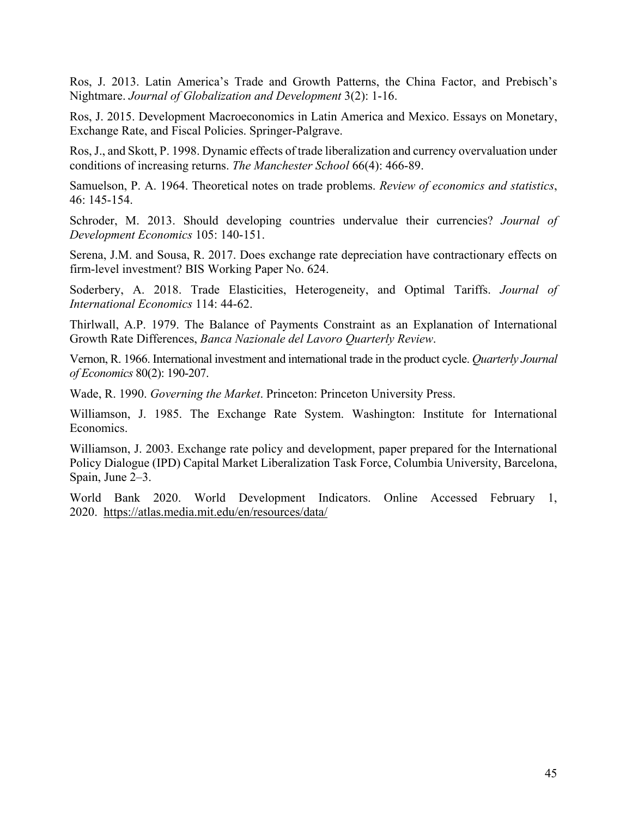Ros, J. 2013. Latin America's Trade and Growth Patterns, the China Factor, and Prebisch's Nightmare. *Journal of Globalization and Development* 3(2): 1-16.

Ros, J. 2015. Development Macroeconomics in Latin America and Mexico. Essays on Monetary, Exchange Rate, and Fiscal Policies. Springer-Palgrave.

Ros, J., and Skott, P. 1998. Dynamic effects of trade liberalization and currency overvaluation under conditions of increasing returns. *The Manchester School* 66(4): 466-89.

Samuelson, P. A. 1964. Theoretical notes on trade problems. *Review of economics and statistics*, 46: 145-154.

Schroder, M. 2013. Should developing countries undervalue their currencies? *Journal of Development Economics* 105: 140-151.

Serena, J.M. and Sousa, R. 2017. Does exchange rate depreciation have contractionary effects on firm-level investment? BIS Working Paper No. 624.

Soderbery, A. 2018. Trade Elasticities, Heterogeneity, and Optimal Tariffs. *Journal of International Economics* 114: 44-62.

Thirlwall, A.P. 1979. The Balance of Payments Constraint as an Explanation of International Growth Rate Differences, *Banca Nazionale del Lavoro Quarterly Review*.

Vernon, R. 1966. International investment and international trade in the product cycle. *Quarterly Journal of Economics* 80(2): 190-207.

Wade, R. 1990. *Governing the Market*. Princeton: Princeton University Press.

Williamson, J. 1985. The Exchange Rate System. Washington: Institute for International Economics.

Williamson, J. 2003. Exchange rate policy and development, paper prepared for the International Policy Dialogue (IPD) Capital Market Liberalization Task Force, Columbia University, Barcelona, Spain, June 2–3.

World Bank 2020. World Development Indicators. Online Accessed February 1, 2020. <https://atlas.media.mit.edu/en/resources/data/>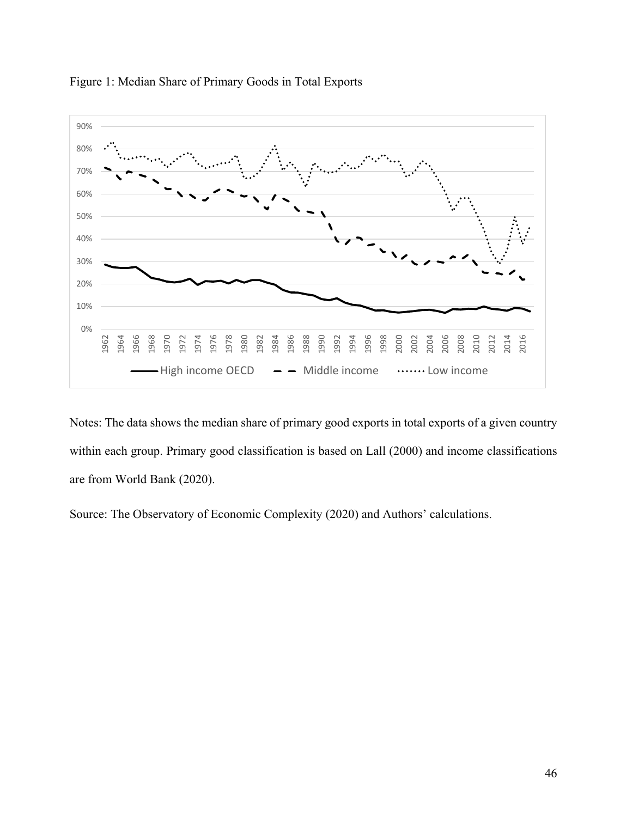



Notes: The data shows the median share of primary good exports in total exports of a given country within each group. Primary good classification is based on Lall (2000) and income classifications are from World Bank (2020).

Source: The Observatory of Economic Complexity (2020) and Authors' calculations.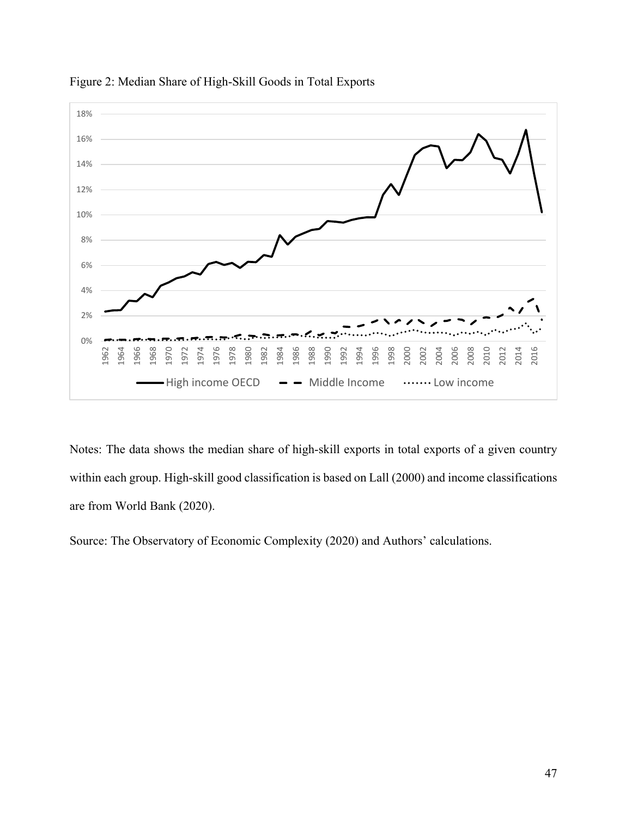

Figure 2: Median Share of High-Skill Goods in Total Exports

Notes: The data shows the median share of high-skill exports in total exports of a given country within each group. High-skill good classification is based on Lall (2000) and income classifications are from World Bank (2020).

Source: The Observatory of Economic Complexity (2020) and Authors' calculations.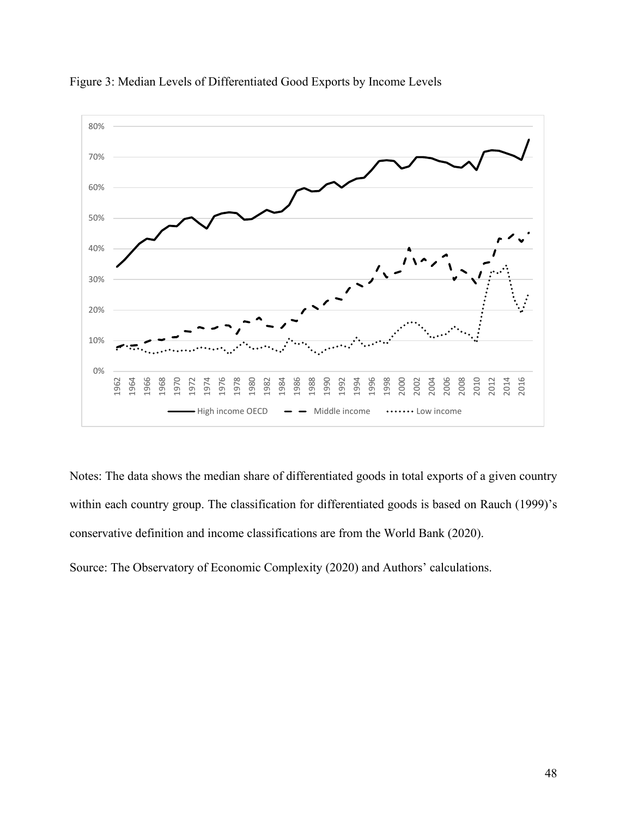

Figure 3: Median Levels of Differentiated Good Exports by Income Levels

Notes: The data shows the median share of differentiated goods in total exports of a given country within each country group. The classification for differentiated goods is based on Rauch (1999)'s conservative definition and income classifications are from the World Bank (2020).

Source: The Observatory of Economic Complexity (2020) and Authors' calculations.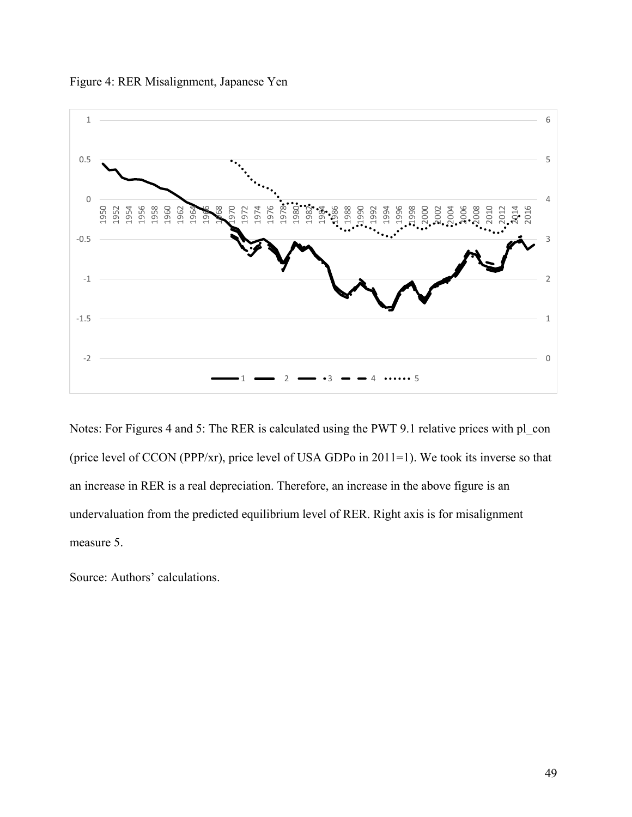



Notes: For Figures 4 and 5: The RER is calculated using the PWT 9.1 relative prices with pl\_con (price level of CCON (PPP/xr), price level of USA GDPo in 2011=1). We took its inverse so that an increase in RER is a real depreciation. Therefore, an increase in the above figure is an undervaluation from the predicted equilibrium level of RER. Right axis is for misalignment measure 5.

Source: Authors' calculations.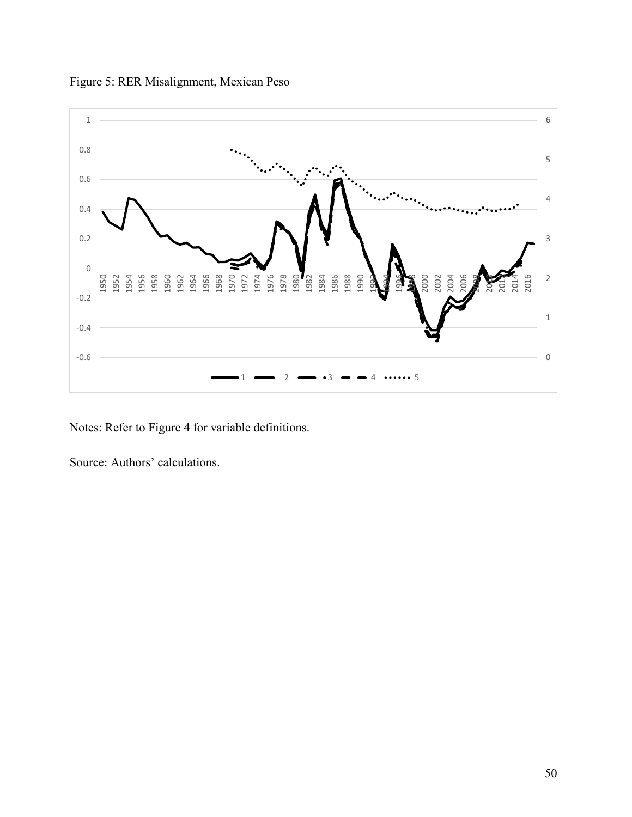

Figure 5: RER Misalignment, Mexican Peso

Notes: Refer to Figure 4 for variable definitions.

Source: Authors' calculations.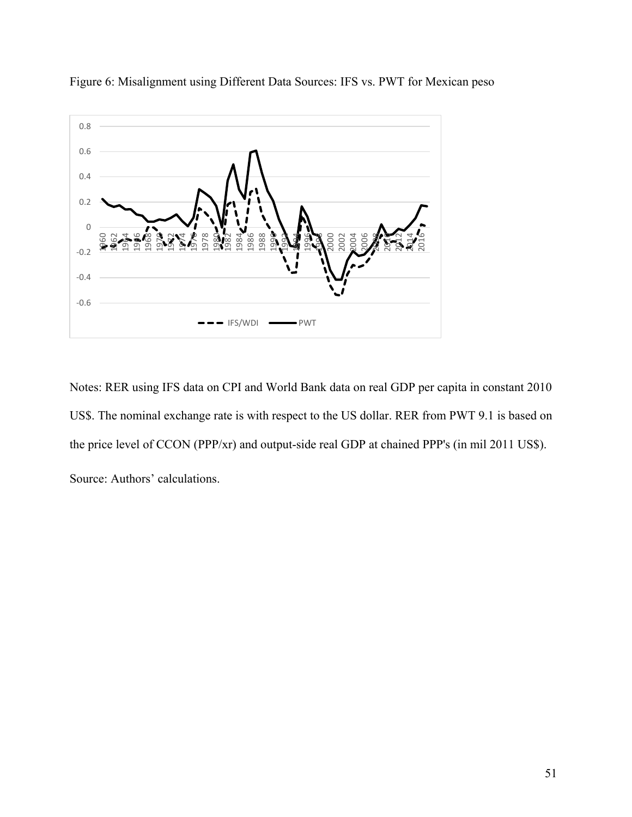

Figure 6: Misalignment using Different Data Sources: IFS vs. PWT for Mexican peso

Notes: RER using IFS data on CPI and World Bank data on real GDP per capita in constant 2010 US\$. The nominal exchange rate is with respect to the US dollar. RER from PWT 9.1 is based on the price level of CCON (PPP/xr) and output-side real GDP at chained PPP's (in mil 2011 US\$). Source: Authors' calculations.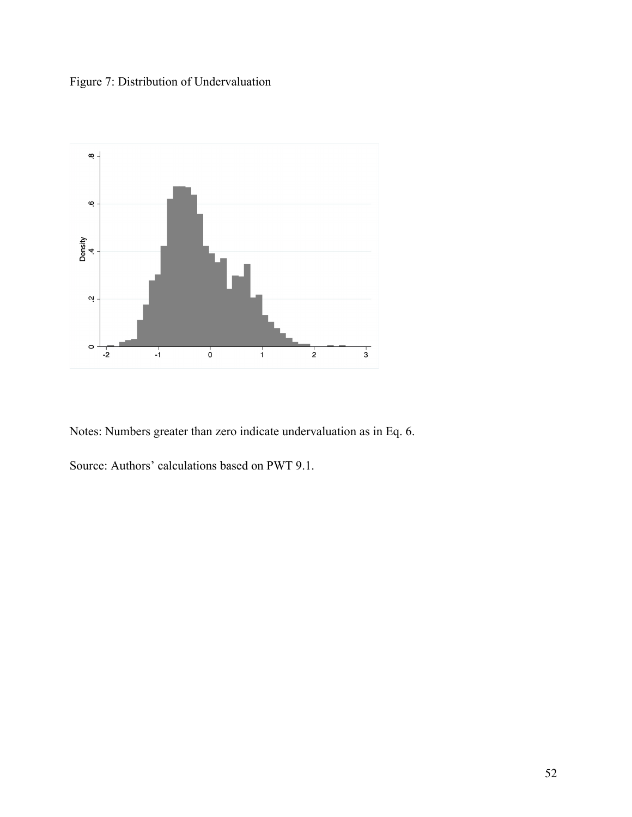Figure 7: Distribution of Undervaluation



Notes: Numbers greater than zero indicate undervaluation as in Eq. 6.

Source: Authors' calculations based on PWT 9.1.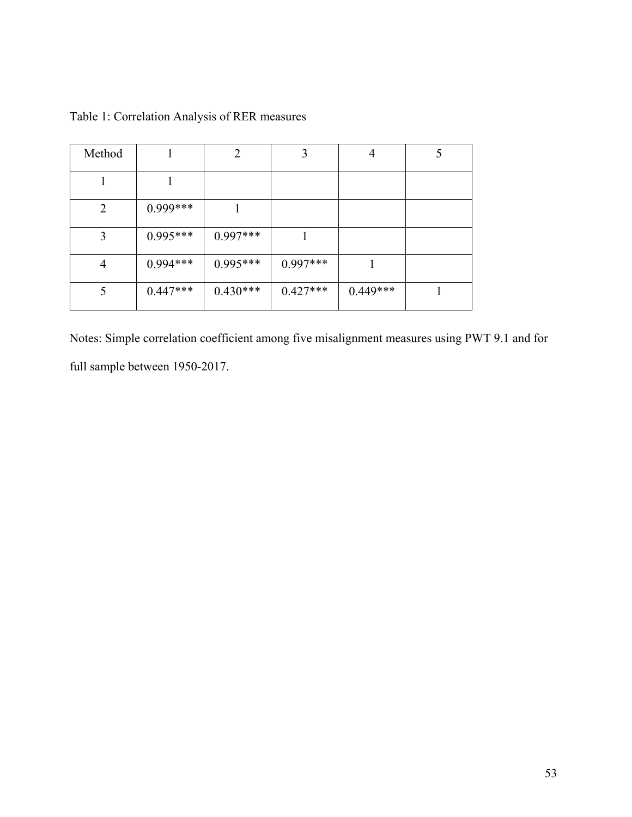| Method         |            | $\overline{2}$ | 3          | 4          |  |
|----------------|------------|----------------|------------|------------|--|
|                |            |                |            |            |  |
| $\overline{2}$ | $0.999***$ |                |            |            |  |
| 3              | $0.995***$ | $0.997***$     |            |            |  |
| $\overline{4}$ | $0.994***$ | $0.995***$     | $0.997***$ |            |  |
| 5              | $0.447***$ | $0.430***$     | $0.427***$ | $0.449***$ |  |

Table 1: Correlation Analysis of RER measures

Notes: Simple correlation coefficient among five misalignment measures using PWT 9.1 and for full sample between 1950-2017.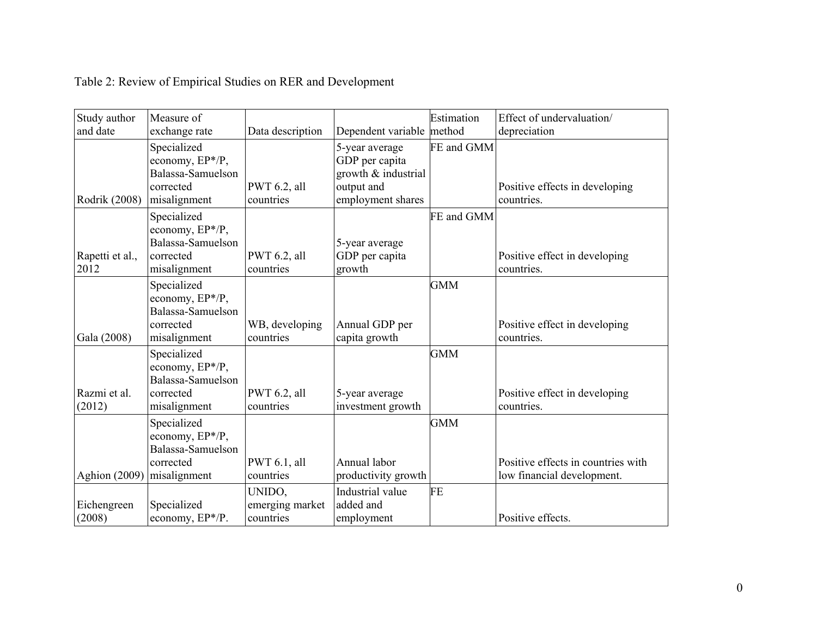| Study author            | Measure of                                                                       |                                        |                                                                                            | Estimation | Effect of undervaluation/                    |
|-------------------------|----------------------------------------------------------------------------------|----------------------------------------|--------------------------------------------------------------------------------------------|------------|----------------------------------------------|
| and date                | exchange rate                                                                    | Data description                       | Dependent variable                                                                         | method     | depreciation                                 |
| Rodrik (2008)           | Specialized<br>economy, EP*/P,<br>Balassa-Samuelson<br>corrected<br>misalignment | PWT 6.2, all<br>countries              | 5-year average<br>GDP per capita<br>growth & industrial<br>output and<br>employment shares | FE and GMM | Positive effects in developing<br>countries. |
|                         |                                                                                  |                                        |                                                                                            |            |                                              |
| Rapetti et al.,<br>2012 | Specialized<br>economy, EP*/P,<br>Balassa-Samuelson<br>corrected<br>misalignment | PWT 6.2, all<br>countries              | 5-year average<br>GDP per capita<br>growth                                                 | FE and GMM | Positive effect in developing<br>countries.  |
| Gala (2008)             | Specialized<br>economy, EP*/P,<br>Balassa-Samuelson<br>corrected<br>misalignment | WB, developing<br>countries            | Annual GDP per<br>capita growth                                                            | <b>GMM</b> | Positive effect in developing<br>countries.  |
| Razmi et al.            | Specialized<br>economy, EP*/P,<br>Balassa-Samuelson<br>corrected                 | PWT 6.2, all                           | 5-year average                                                                             | <b>GMM</b> | Positive effect in developing                |
| (2012)                  | misalignment                                                                     | countries                              | investment growth                                                                          |            | countries.                                   |
|                         | Specialized<br>economy, EP*/P,<br>Balassa-Samuelson                              |                                        |                                                                                            | <b>GMM</b> |                                              |
|                         | corrected                                                                        | PWT 6.1, all                           | Annual labor                                                                               |            | Positive effects in countries with           |
| <b>Aghion</b> (2009)    | misalignment                                                                     | countries                              | productivity growth                                                                        |            | low financial development.                   |
| Eichengreen<br>(2008)   | Specialized<br>economy, EP*/P.                                                   | UNIDO.<br>emerging market<br>countries | Industrial value<br>added and<br>employment                                                | FE         | Positive effects.                            |

# Table 2: Review of Empirical Studies on RER and Development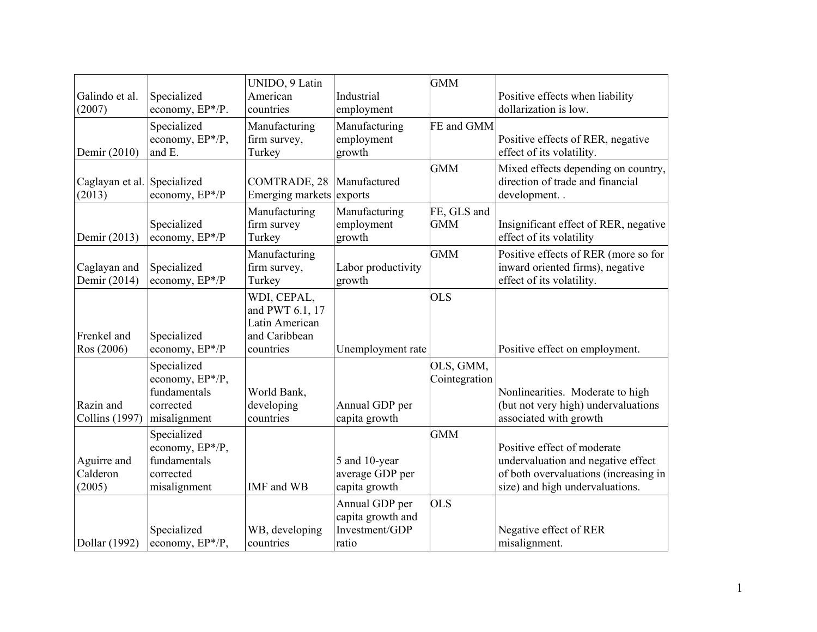| Galindo et al.<br>(2007)              | Specialized<br>economy, EP*/P.                                              | UNIDO, 9 Latin<br>American<br>countries                                        | Industrial<br>employment                                       | <b>GMM</b>                 | Positive effects when liability<br>dollarization is low.                                                                                      |
|---------------------------------------|-----------------------------------------------------------------------------|--------------------------------------------------------------------------------|----------------------------------------------------------------|----------------------------|-----------------------------------------------------------------------------------------------------------------------------------------------|
| Demir (2010)                          | Specialized<br>economy, EP*/P,<br>and E.                                    | Manufacturing<br>firm survey,<br>Turkey                                        | Manufacturing<br>employment<br>growth                          | FE and GMM                 | Positive effects of RER, negative<br>effect of its volatility.                                                                                |
| Caglayan et al. Specialized<br>(2013) | economy, EP*/P                                                              | COMTRADE, 28<br>Emerging markets exports                                       | Manufactured                                                   | <b>GMM</b>                 | Mixed effects depending on country,<br>direction of trade and financial<br>development                                                        |
| Demir (2013)                          | Specialized<br>economy, EP*/P                                               | Manufacturing<br>firm survey<br>Turkey                                         | Manufacturing<br>employment<br>growth                          | FE, GLS and<br><b>GMM</b>  | Insignificant effect of RER, negative<br>effect of its volatility                                                                             |
| Caglayan and<br>Demir (2014)          | Specialized<br>economy, EP*/P                                               | Manufacturing<br>firm survey,<br>Turkey                                        | Labor productivity<br>growth                                   | <b>GMM</b>                 | Positive effects of RER (more so for<br>inward oriented firms), negative<br>effect of its volatility.                                         |
| Frenkel and<br>Ros (2006)             | Specialized<br>economy, EP*/P                                               | WDI, CEPAL,<br>and PWT 6.1, 17<br>Latin American<br>and Caribbean<br>countries | Unemployment rate                                              | <b>OLS</b>                 | Positive effect on employment.                                                                                                                |
| Razin and<br><b>Collins</b> (1997)    | Specialized<br>economy, EP*/P,<br>fundamentals<br>corrected<br>misalignment | World Bank,<br>developing<br>countries                                         | Annual GDP per<br>capita growth                                | OLS, GMM,<br>Cointegration | Nonlinearities. Moderate to high<br>(but not very high) undervaluations<br>associated with growth                                             |
| Aguirre and<br>Calderon<br>(2005)     | Specialized<br>economy, EP*/P,<br>fundamentals<br>corrected<br>misalignment | IMF and WB                                                                     | 5 and 10-year<br>average GDP per<br>capita growth              | <b>GMM</b>                 | Positive effect of moderate<br>undervaluation and negative effect<br>of both overvaluations (increasing in<br>size) and high undervaluations. |
| Dollar (1992)                         | Specialized<br>economy, EP*/P,                                              | WB, developing<br>countries                                                    | Annual GDP per<br>capita growth and<br>Investment/GDP<br>ratio | <b>OLS</b>                 | Negative effect of RER<br>misalignment.                                                                                                       |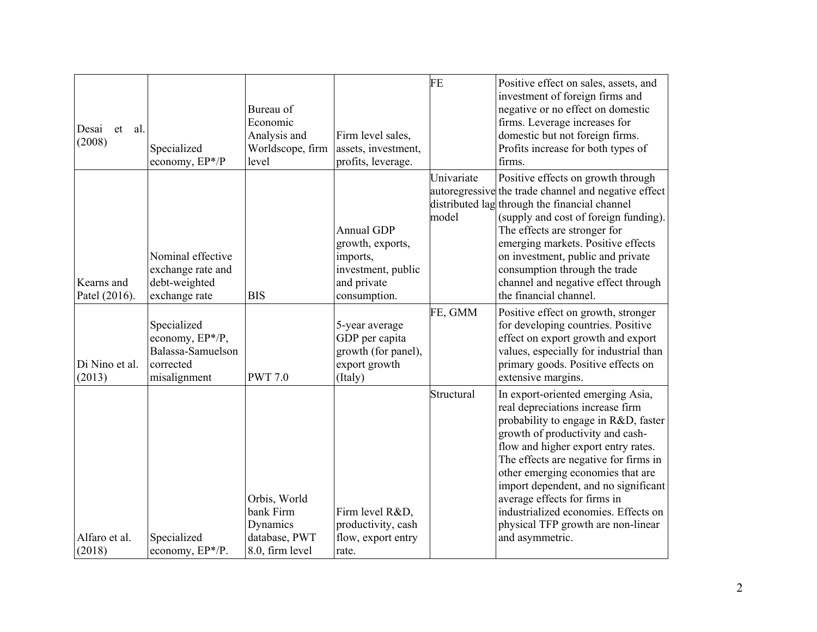| Desai<br>al.<br>et<br>(2008) | Specialized<br>economy, EP*/P                                                    | Bureau of<br>Economic<br>Analysis and<br>Worldscope, firm<br>level        | Firm level sales,<br>assets, investment,<br>profits, leverage.                                         | FE                  | Positive effect on sales, assets, and<br>investment of foreign firms and<br>negative or no effect on domestic<br>firms. Leverage increases for<br>domestic but not foreign firms.<br>Profits increase for both types of<br>firms.                                                                                                                                                                                                               |
|------------------------------|----------------------------------------------------------------------------------|---------------------------------------------------------------------------|--------------------------------------------------------------------------------------------------------|---------------------|-------------------------------------------------------------------------------------------------------------------------------------------------------------------------------------------------------------------------------------------------------------------------------------------------------------------------------------------------------------------------------------------------------------------------------------------------|
| Kearns and<br>Patel (2016).  | Nominal effective<br>exchange rate and<br>debt-weighted<br>exchange rate         | <b>BIS</b>                                                                | <b>Annual GDP</b><br>growth, exports,<br>imports,<br>investment, public<br>and private<br>consumption. | Univariate<br>model | Positive effects on growth through<br>autoregressive the trade channel and negative effect<br>distributed lag through the financial channel<br>(supply and cost of foreign funding).<br>The effects are stronger for<br>emerging markets. Positive effects<br>on investment, public and private<br>consumption through the trade<br>channel and negative effect through<br>the financial channel.                                               |
| Di Nino et al.<br>(2013)     | Specialized<br>economy, EP*/P,<br>Balassa-Samuelson<br>corrected<br>misalignment | <b>PWT 7.0</b>                                                            | 5-year average<br>GDP per capita<br>growth (for panel),<br>export growth<br>(Italy)                    | FE, GMM             | Positive effect on growth, stronger<br>for developing countries. Positive<br>effect on export growth and export<br>values, especially for industrial than<br>primary goods. Positive effects on<br>extensive margins.                                                                                                                                                                                                                           |
| Alfaro et al.<br>(2018)      | Specialized<br>economy, EP*/P.                                                   | Orbis, World<br>bank Firm<br>Dynamics<br>database, PWT<br>8.0, firm level | Firm level R&D,<br>productivity, cash<br>flow, export entry<br>rate.                                   | Structural          | In export-oriented emerging Asia,<br>real depreciations increase firm<br>probability to engage in R&D, faster<br>growth of productivity and cash-<br>flow and higher export entry rates.<br>The effects are negative for firms in<br>other emerging economies that are<br>import dependent, and no significant<br>average effects for firms in<br>industrialized economies. Effects on<br>physical TFP growth are non-linear<br>and asymmetric. |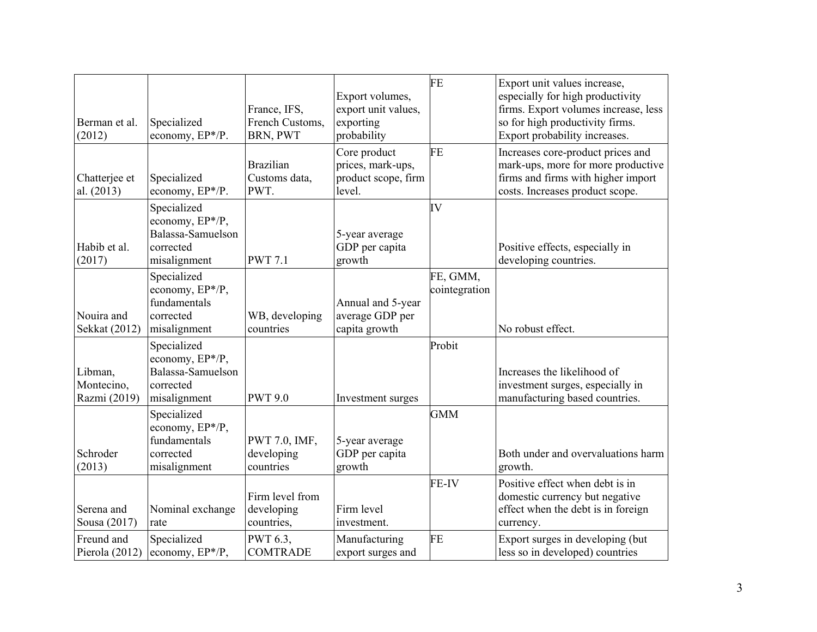| Berman et al.<br>(2012)               | Specialized<br>economy, EP*/P.                                                   | France, IFS,<br>French Customs,<br>BRN, PWT | Export volumes,<br>export unit values,<br>exporting<br>probability | FE                        | Export unit values increase,<br>especially for high productivity<br>firms. Export volumes increase, less<br>so for high productivity firms.<br>Export probability increases. |
|---------------------------------------|----------------------------------------------------------------------------------|---------------------------------------------|--------------------------------------------------------------------|---------------------------|------------------------------------------------------------------------------------------------------------------------------------------------------------------------------|
| Chatterjee et<br>al. (2013)           | Specialized<br>economy, EP*/P.                                                   | <b>Brazilian</b><br>Customs data,<br>PWT.   | Core product<br>prices, mark-ups,<br>product scope, firm<br>level. | FE                        | Increases core-product prices and<br>mark-ups, more for more productive<br>firms and firms with higher import<br>costs. Increases product scope.                             |
| Habib et al.<br>(2017)                | Specialized<br>economy, EP*/P,<br>Balassa-Samuelson<br>corrected<br>misalignment | <b>PWT 7.1</b>                              | 5-year average<br>GDP per capita<br>growth                         | IV                        | Positive effects, especially in<br>developing countries.                                                                                                                     |
| Nouira and<br>Sekkat (2012)           | Specialized<br>economy, EP*/P,<br>fundamentals<br>corrected<br>misalignment      | WB, developing<br>countries                 | Annual and 5-year<br>average GDP per<br>capita growth              | FE, GMM,<br>cointegration | No robust effect.                                                                                                                                                            |
| Libman,<br>Montecino,<br>Razmi (2019) | Specialized<br>economy, EP*/P,<br>Balassa-Samuelson<br>corrected<br>misalignment | <b>PWT 9.0</b>                              | Investment surges                                                  | Probit                    | Increases the likelihood of<br>investment surges, especially in<br>manufacturing based countries.                                                                            |
| Schroder<br>(2013)                    | Specialized<br>economy, EP*/P,<br>fundamentals<br>corrected<br>misalignment      | PWT 7.0, IMF,<br>developing<br>countries    | 5-year average<br>GDP per capita<br>growth                         | <b>GMM</b>                | Both under and overvaluations harm<br>growth.                                                                                                                                |
| Serena and<br>Sousa (2017)            | Nominal exchange<br>rate                                                         | Firm level from<br>developing<br>countries, | Firm level<br>investment.                                          | <b>FE-IV</b>              | Positive effect when debt is in<br>domestic currency but negative<br>effect when the debt is in foreign<br>currency.                                                         |
| Freund and<br>Pierola (2012)          | Specialized<br>economy, $EP^*/P$ ,                                               | PWT 6.3,<br><b>COMTRADE</b>                 | Manufacturing<br>export surges and                                 | <b>FE</b>                 | Export surges in developing (but<br>less so in developed) countries                                                                                                          |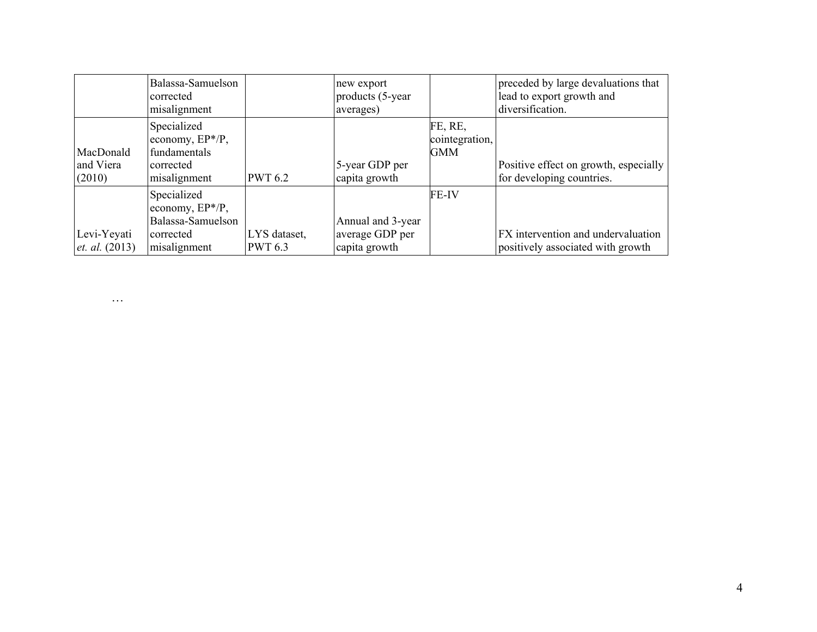|                                        | Balassa-Samuelson<br>corrected<br>misalignment                                   |                                | new export<br>products (5-year)<br>averages)          |                                  | preceded by large devaluations that<br>lead to export growth and<br>diversification. |
|----------------------------------------|----------------------------------------------------------------------------------|--------------------------------|-------------------------------------------------------|----------------------------------|--------------------------------------------------------------------------------------|
| MacDonald<br>and Viera<br>(2010)       | Specialized<br>economy, $EP^*/P$ ,<br>fundamentals<br>corrected<br>misalignment  | <b>PWT 6.2</b>                 | 5-year GDP per<br>capita growth                       | FE, RE,<br>cointegration,<br>GMM | Positive effect on growth, especially<br>for developing countries.                   |
| Levi-Yeyati<br><i>et. al.</i> $(2013)$ | Specialized<br>economy, EP*/P,<br>Balassa-Samuelson<br>corrected<br>misalignment | LYS dataset,<br><b>PWT 6.3</b> | Annual and 3-year<br>average GDP per<br>capita growth | <b>FE-IV</b>                     | <b>FX</b> intervention and undervaluation<br>positively associated with growth       |

…